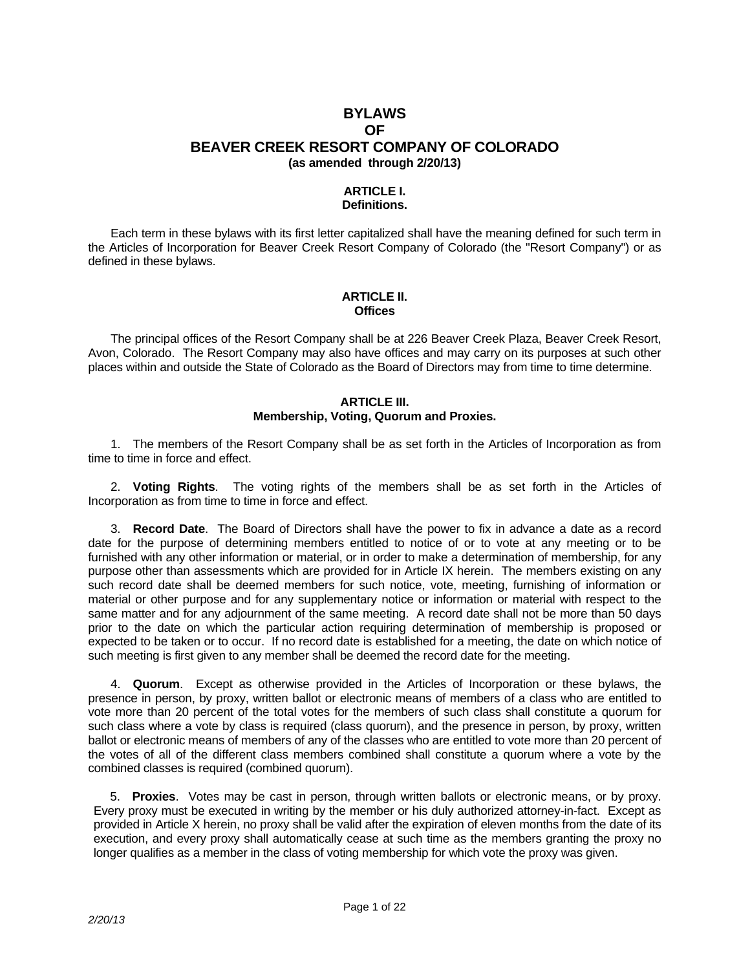# **BYLAWS OF BEAVER CREEK RESORT COMPANY OF COLORADO (as amended through 2/20/13)**

### **ARTICLE I. Definitions.**

 Each term in these bylaws with its first letter capitalized shall have the meaning defined for such term in the Articles of Incorporation for Beaver Creek Resort Company of Colorado (the "Resort Company") or as defined in these bylaws.

### **ARTICLE II. Offices**

 The principal offices of the Resort Company shall be at 226 Beaver Creek Plaza, Beaver Creek Resort, Avon, Colorado. The Resort Company may also have offices and may carry on its purposes at such other places within and outside the State of Colorado as the Board of Directors may from time to time determine.

#### **ARTICLE III. Membership, Voting, Quorum and Proxies.**

 1. The members of the Resort Company shall be as set forth in the Articles of Incorporation as from time to time in force and effect.

 2. **Voting Rights**. The voting rights of the members shall be as set forth in the Articles of Incorporation as from time to time in force and effect.

 3. **Record Date**. The Board of Directors shall have the power to fix in advance a date as a record date for the purpose of determining members entitled to notice of or to vote at any meeting or to be furnished with any other information or material, or in order to make a determination of membership, for any purpose other than assessments which are provided for in Article IX herein. The members existing on any such record date shall be deemed members for such notice, vote, meeting, furnishing of information or material or other purpose and for any supplementary notice or information or material with respect to the same matter and for any adjournment of the same meeting. A record date shall not be more than 50 days prior to the date on which the particular action requiring determination of membership is proposed or expected to be taken or to occur. If no record date is established for a meeting, the date on which notice of such meeting is first given to any member shall be deemed the record date for the meeting.

 4. **Quorum**. Except as otherwise provided in the Articles of Incorporation or these bylaws, the presence in person, by proxy, written ballot or electronic means of members of a class who are entitled to vote more than 20 percent of the total votes for the members of such class shall constitute a quorum for such class where a vote by class is required (class quorum), and the presence in person, by proxy, written ballot or electronic means of members of any of the classes who are entitled to vote more than 20 percent of the votes of all of the different class members combined shall constitute a quorum where a vote by the combined classes is required (combined quorum).

5. **Proxies**. Votes may be cast in person, through written ballots or electronic means, or by proxy. Every proxy must be executed in writing by the member or his duly authorized attorney-in-fact. Except as provided in Article X herein, no proxy shall be valid after the expiration of eleven months from the date of its execution, and every proxy shall automatically cease at such time as the members granting the proxy no longer qualifies as a member in the class of voting membership for which vote the proxy was given.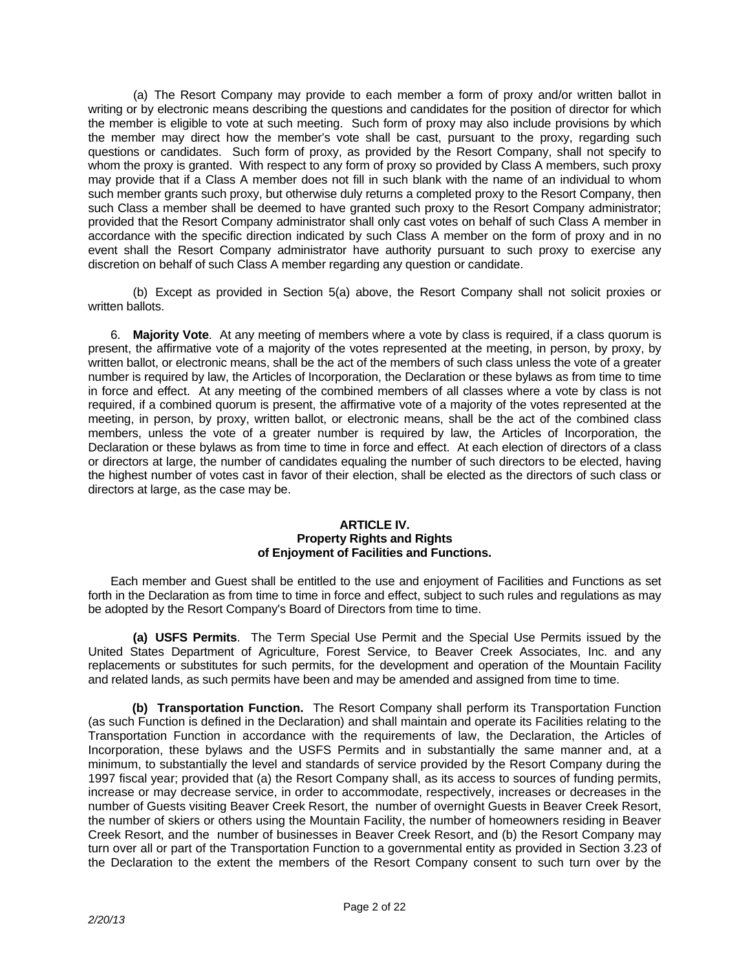(a) The Resort Company may provide to each member a form of proxy and/or written ballot in writing or by electronic means describing the questions and candidates for the position of director for which the member is eligible to vote at such meeting. Such form of proxy may also include provisions by which the member may direct how the member's vote shall be cast, pursuant to the proxy, regarding such questions or candidates. Such form of proxy, as provided by the Resort Company, shall not specify to whom the proxy is granted. With respect to any form of proxy so provided by Class A members, such proxy may provide that if a Class A member does not fill in such blank with the name of an individual to whom such member grants such proxy, but otherwise duly returns a completed proxy to the Resort Company, then such Class a member shall be deemed to have granted such proxy to the Resort Company administrator; provided that the Resort Company administrator shall only cast votes on behalf of such Class A member in accordance with the specific direction indicated by such Class A member on the form of proxy and in no event shall the Resort Company administrator have authority pursuant to such proxy to exercise any discretion on behalf of such Class A member regarding any question or candidate.

 (b) Except as provided in Section 5(a) above, the Resort Company shall not solicit proxies or written ballots.

 6. **Majority Vote**. At any meeting of members where a vote by class is required, if a class quorum is present, the affirmative vote of a majority of the votes represented at the meeting, in person, by proxy, by written ballot, or electronic means, shall be the act of the members of such class unless the vote of a greater number is required by law, the Articles of Incorporation, the Declaration or these bylaws as from time to time in force and effect. At any meeting of the combined members of all classes where a vote by class is not required, if a combined quorum is present, the affirmative vote of a majority of the votes represented at the meeting, in person, by proxy, written ballot, or electronic means, shall be the act of the combined class members, unless the vote of a greater number is required by law, the Articles of Incorporation, the Declaration or these bylaws as from time to time in force and effect. At each election of directors of a class or directors at large, the number of candidates equaling the number of such directors to be elected, having the highest number of votes cast in favor of their election, shall be elected as the directors of such class or directors at large, as the case may be.

### **ARTICLE IV. Property Rights and Rights of Enjoyment of Facilities and Functions.**

 Each member and Guest shall be entitled to the use and enjoyment of Facilities and Functions as set forth in the Declaration as from time to time in force and effect, subject to such rules and regulations as may be adopted by the Resort Company's Board of Directors from time to time.

 **(a) USFS Permits**. The Term Special Use Permit and the Special Use Permits issued by the United States Department of Agriculture, Forest Service, to Beaver Creek Associates, Inc. and any replacements or substitutes for such permits, for the development and operation of the Mountain Facility and related lands, as such permits have been and may be amended and assigned from time to time.

 **(b) Transportation Function.** The Resort Company shall perform its Transportation Function (as such Function is defined in the Declaration) and shall maintain and operate its Facilities relating to the Transportation Function in accordance with the requirements of law, the Declaration, the Articles of Incorporation, these bylaws and the USFS Permits and in substantially the same manner and, at a minimum, to substantially the level and standards of service provided by the Resort Company during the 1997 fiscal year; provided that (a) the Resort Company shall, as its access to sources of funding permits, increase or may decrease service, in order to accommodate, respectively, increases or decreases in the number of Guests visiting Beaver Creek Resort, the number of overnight Guests in Beaver Creek Resort, the number of skiers or others using the Mountain Facility, the number of homeowners residing in Beaver Creek Resort, and the number of businesses in Beaver Creek Resort, and (b) the Resort Company may turn over all or part of the Transportation Function to a governmental entity as provided in Section 3.23 of the Declaration to the extent the members of the Resort Company consent to such turn over by the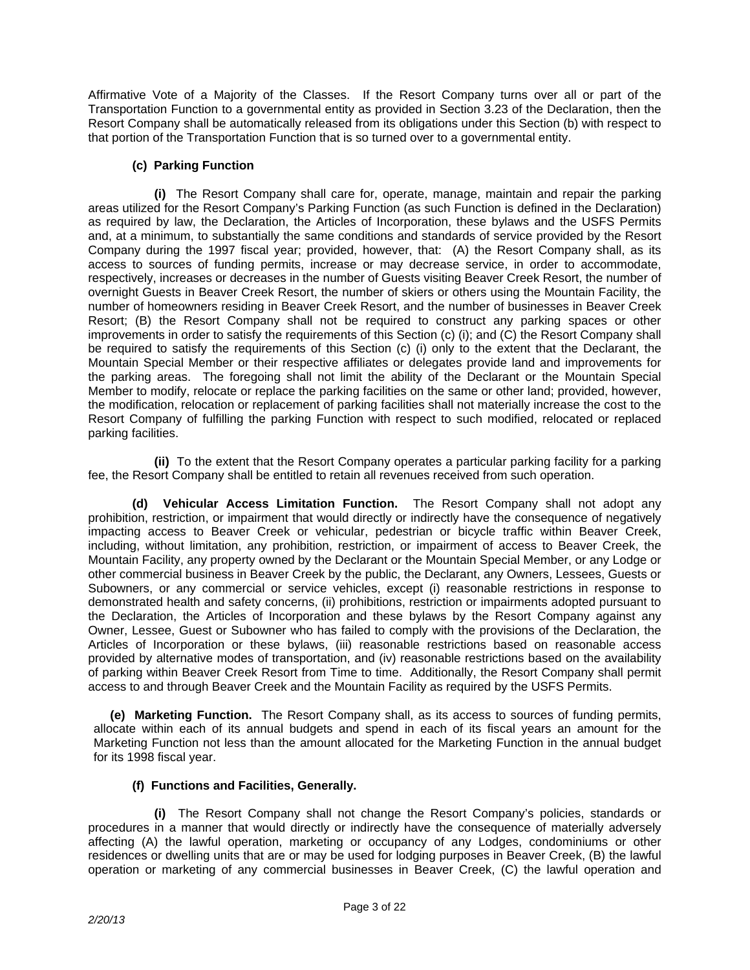Affirmative Vote of a Majority of the Classes. If the Resort Company turns over all or part of the Transportation Function to a governmental entity as provided in Section 3.23 of the Declaration, then the Resort Company shall be automatically released from its obligations under this Section (b) with respect to that portion of the Transportation Function that is so turned over to a governmental entity.

# **(c) Parking Function**

 **(i)** The Resort Company shall care for, operate, manage, maintain and repair the parking areas utilized for the Resort Company's Parking Function (as such Function is defined in the Declaration) as required by law, the Declaration, the Articles of Incorporation, these bylaws and the USFS Permits and, at a minimum, to substantially the same conditions and standards of service provided by the Resort Company during the 1997 fiscal year; provided, however, that: (A) the Resort Company shall, as its access to sources of funding permits, increase or may decrease service, in order to accommodate, respectively, increases or decreases in the number of Guests visiting Beaver Creek Resort, the number of overnight Guests in Beaver Creek Resort, the number of skiers or others using the Mountain Facility, the number of homeowners residing in Beaver Creek Resort, and the number of businesses in Beaver Creek Resort; (B) the Resort Company shall not be required to construct any parking spaces or other improvements in order to satisfy the requirements of this Section (c) (i); and (C) the Resort Company shall be required to satisfy the requirements of this Section (c) (i) only to the extent that the Declarant, the Mountain Special Member or their respective affiliates or delegates provide land and improvements for the parking areas. The foregoing shall not limit the ability of the Declarant or the Mountain Special Member to modify, relocate or replace the parking facilities on the same or other land; provided, however, the modification, relocation or replacement of parking facilities shall not materially increase the cost to the Resort Company of fulfilling the parking Function with respect to such modified, relocated or replaced parking facilities.

 **(ii)** To the extent that the Resort Company operates a particular parking facility for a parking fee, the Resort Company shall be entitled to retain all revenues received from such operation.

 **(d) Vehicular Access Limitation Function.** The Resort Company shall not adopt any prohibition, restriction, or impairment that would directly or indirectly have the consequence of negatively impacting access to Beaver Creek or vehicular, pedestrian or bicycle traffic within Beaver Creek, including, without limitation, any prohibition, restriction, or impairment of access to Beaver Creek, the Mountain Facility, any property owned by the Declarant or the Mountain Special Member, or any Lodge or other commercial business in Beaver Creek by the public, the Declarant, any Owners, Lessees, Guests or Subowners, or any commercial or service vehicles, except (i) reasonable restrictions in response to demonstrated health and safety concerns, (ii) prohibitions, restriction or impairments adopted pursuant to the Declaration, the Articles of Incorporation and these bylaws by the Resort Company against any Owner, Lessee, Guest or Subowner who has failed to comply with the provisions of the Declaration, the Articles of Incorporation or these bylaws, (iii) reasonable restrictions based on reasonable access provided by alternative modes of transportation, and (iv) reasonable restrictions based on the availability of parking within Beaver Creek Resort from Time to time. Additionally, the Resort Company shall permit access to and through Beaver Creek and the Mountain Facility as required by the USFS Permits.

 **(e) Marketing Function.** The Resort Company shall, as its access to sources of funding permits, allocate within each of its annual budgets and spend in each of its fiscal years an amount for the Marketing Function not less than the amount allocated for the Marketing Function in the annual budget for its 1998 fiscal year.

# **(f) Functions and Facilities, Generally.**

 **(i)** The Resort Company shall not change the Resort Company's policies, standards or procedures in a manner that would directly or indirectly have the consequence of materially adversely affecting (A) the lawful operation, marketing or occupancy of any Lodges, condominiums or other residences or dwelling units that are or may be used for lodging purposes in Beaver Creek, (B) the lawful operation or marketing of any commercial businesses in Beaver Creek, (C) the lawful operation and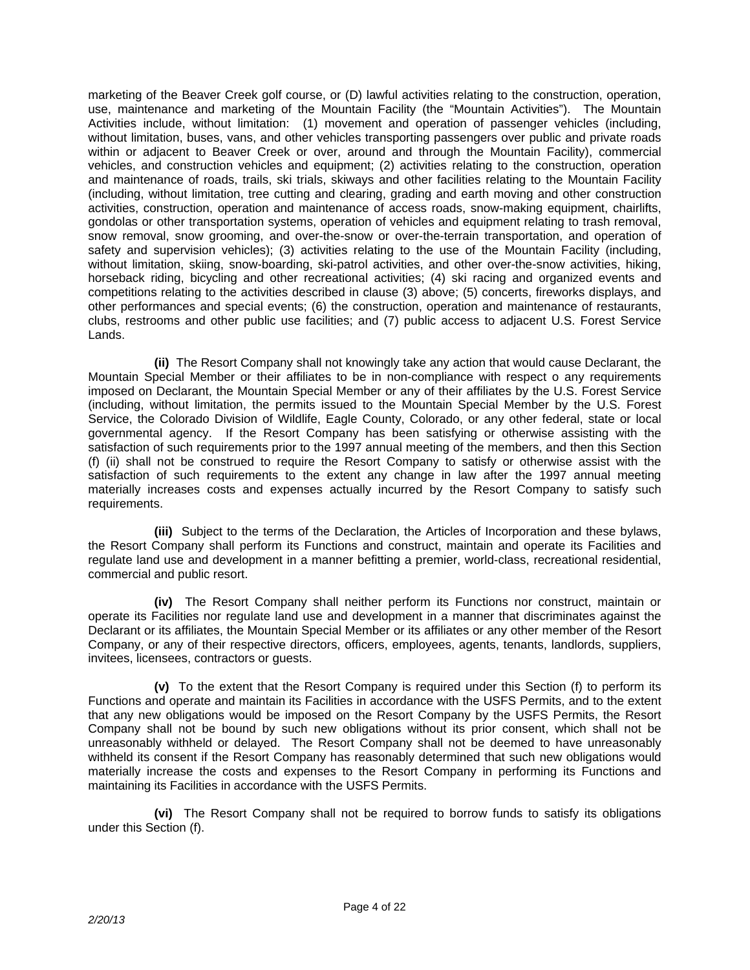marketing of the Beaver Creek golf course, or (D) lawful activities relating to the construction, operation, use, maintenance and marketing of the Mountain Facility (the "Mountain Activities"). The Mountain Activities include, without limitation: (1) movement and operation of passenger vehicles (including, without limitation, buses, vans, and other vehicles transporting passengers over public and private roads within or adjacent to Beaver Creek or over, around and through the Mountain Facility), commercial vehicles, and construction vehicles and equipment; (2) activities relating to the construction, operation and maintenance of roads, trails, ski trials, skiways and other facilities relating to the Mountain Facility (including, without limitation, tree cutting and clearing, grading and earth moving and other construction activities, construction, operation and maintenance of access roads, snow-making equipment, chairlifts, gondolas or other transportation systems, operation of vehicles and equipment relating to trash removal, snow removal, snow grooming, and over-the-snow or over-the-terrain transportation, and operation of safety and supervision vehicles); (3) activities relating to the use of the Mountain Facility (including, without limitation, skiing, snow-boarding, ski-patrol activities, and other over-the-snow activities, hiking, horseback riding, bicycling and other recreational activities; (4) ski racing and organized events and competitions relating to the activities described in clause (3) above; (5) concerts, fireworks displays, and other performances and special events; (6) the construction, operation and maintenance of restaurants, clubs, restrooms and other public use facilities; and (7) public access to adjacent U.S. Forest Service Lands.

 **(ii)** The Resort Company shall not knowingly take any action that would cause Declarant, the Mountain Special Member or their affiliates to be in non-compliance with respect o any requirements imposed on Declarant, the Mountain Special Member or any of their affiliates by the U.S. Forest Service (including, without limitation, the permits issued to the Mountain Special Member by the U.S. Forest Service, the Colorado Division of Wildlife, Eagle County, Colorado, or any other federal, state or local governmental agency. If the Resort Company has been satisfying or otherwise assisting with the satisfaction of such requirements prior to the 1997 annual meeting of the members, and then this Section (f) (ii) shall not be construed to require the Resort Company to satisfy or otherwise assist with the satisfaction of such requirements to the extent any change in law after the 1997 annual meeting materially increases costs and expenses actually incurred by the Resort Company to satisfy such requirements.

 **(iii)** Subject to the terms of the Declaration, the Articles of Incorporation and these bylaws, the Resort Company shall perform its Functions and construct, maintain and operate its Facilities and regulate land use and development in a manner befitting a premier, world-class, recreational residential, commercial and public resort.

 **(iv)** The Resort Company shall neither perform its Functions nor construct, maintain or operate its Facilities nor regulate land use and development in a manner that discriminates against the Declarant or its affiliates, the Mountain Special Member or its affiliates or any other member of the Resort Company, or any of their respective directors, officers, employees, agents, tenants, landlords, suppliers, invitees, licensees, contractors or guests.

 **(v)** To the extent that the Resort Company is required under this Section (f) to perform its Functions and operate and maintain its Facilities in accordance with the USFS Permits, and to the extent that any new obligations would be imposed on the Resort Company by the USFS Permits, the Resort Company shall not be bound by such new obligations without its prior consent, which shall not be unreasonably withheld or delayed. The Resort Company shall not be deemed to have unreasonably withheld its consent if the Resort Company has reasonably determined that such new obligations would materially increase the costs and expenses to the Resort Company in performing its Functions and maintaining its Facilities in accordance with the USFS Permits.

 **(vi)** The Resort Company shall not be required to borrow funds to satisfy its obligations under this Section (f).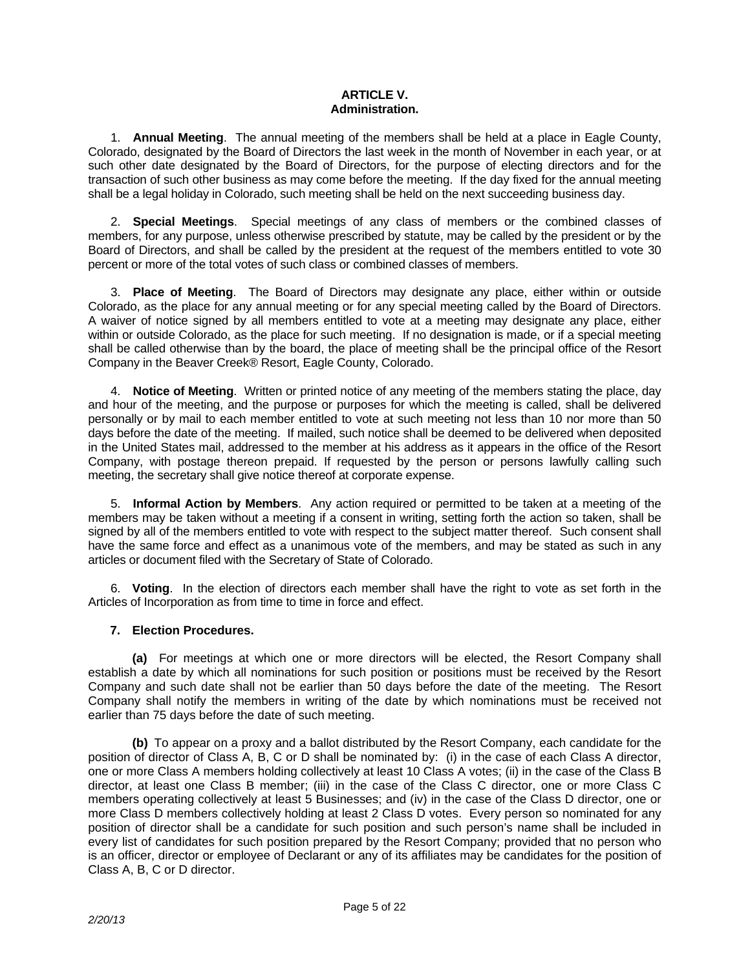### **ARTICLE V. Administration.**

 1. **Annual Meeting**. The annual meeting of the members shall be held at a place in Eagle County, Colorado, designated by the Board of Directors the last week in the month of November in each year, or at such other date designated by the Board of Directors, for the purpose of electing directors and for the transaction of such other business as may come before the meeting. If the day fixed for the annual meeting shall be a legal holiday in Colorado, such meeting shall be held on the next succeeding business day.

 2. **Special Meetings**. Special meetings of any class of members or the combined classes of members, for any purpose, unless otherwise prescribed by statute, may be called by the president or by the Board of Directors, and shall be called by the president at the request of the members entitled to vote 30 percent or more of the total votes of such class or combined classes of members.

 3. **Place of Meeting**. The Board of Directors may designate any place, either within or outside Colorado, as the place for any annual meeting or for any special meeting called by the Board of Directors. A waiver of notice signed by all members entitled to vote at a meeting may designate any place, either within or outside Colorado, as the place for such meeting. If no designation is made, or if a special meeting shall be called otherwise than by the board, the place of meeting shall be the principal office of the Resort Company in the Beaver Creek® Resort, Eagle County, Colorado.

 4. **Notice of Meeting**. Written or printed notice of any meeting of the members stating the place, day and hour of the meeting, and the purpose or purposes for which the meeting is called, shall be delivered personally or by mail to each member entitled to vote at such meeting not less than 10 nor more than 50 days before the date of the meeting. If mailed, such notice shall be deemed to be delivered when deposited in the United States mail, addressed to the member at his address as it appears in the office of the Resort Company, with postage thereon prepaid. If requested by the person or persons lawfully calling such meeting, the secretary shall give notice thereof at corporate expense.

 5. **Informal Action by Members**. Any action required or permitted to be taken at a meeting of the members may be taken without a meeting if a consent in writing, setting forth the action so taken, shall be signed by all of the members entitled to vote with respect to the subject matter thereof. Such consent shall have the same force and effect as a unanimous vote of the members, and may be stated as such in any articles or document filed with the Secretary of State of Colorado.

6. **Voting**. In the election of directors each member shall have the right to vote as set forth in the Articles of Incorporation as from time to time in force and effect.

## **7. Election Procedures.**

 **(a)** For meetings at which one or more directors will be elected, the Resort Company shall establish a date by which all nominations for such position or positions must be received by the Resort Company and such date shall not be earlier than 50 days before the date of the meeting. The Resort Company shall notify the members in writing of the date by which nominations must be received not earlier than 75 days before the date of such meeting.

 **(b)** To appear on a proxy and a ballot distributed by the Resort Company, each candidate for the position of director of Class A, B, C or D shall be nominated by: (i) in the case of each Class A director, one or more Class A members holding collectively at least 10 Class A votes; (ii) in the case of the Class B director, at least one Class B member; (iii) in the case of the Class C director, one or more Class C members operating collectively at least 5 Businesses; and (iv) in the case of the Class D director, one or more Class D members collectively holding at least 2 Class D votes. Every person so nominated for any position of director shall be a candidate for such position and such person's name shall be included in every list of candidates for such position prepared by the Resort Company; provided that no person who is an officer, director or employee of Declarant or any of its affiliates may be candidates for the position of Class A, B, C or D director.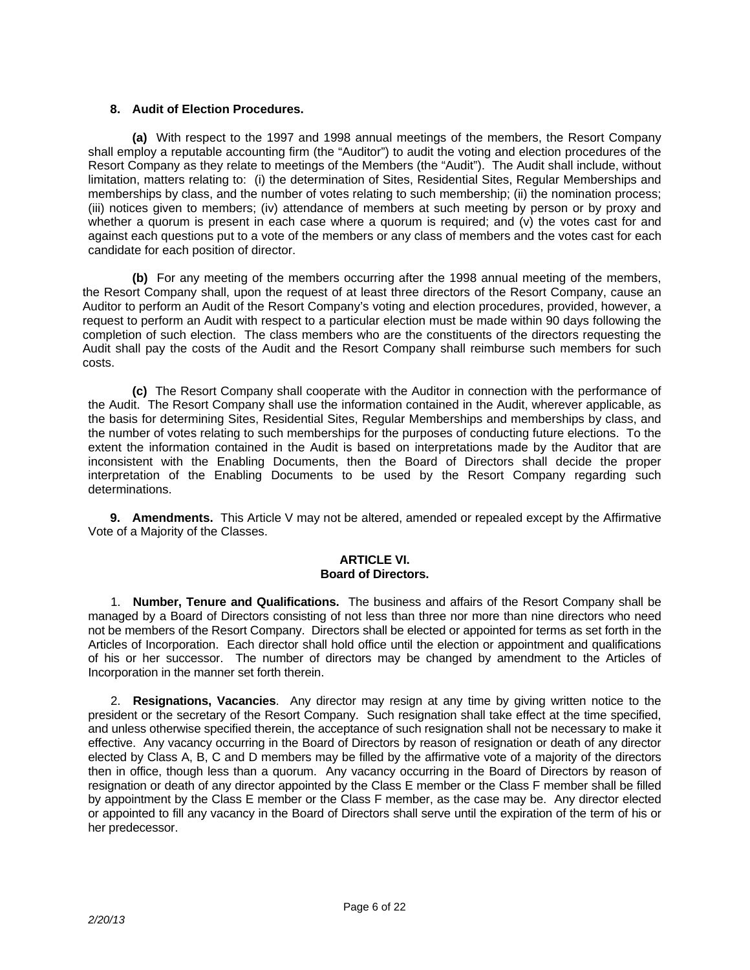## **8. Audit of Election Procedures.**

 **(a)** With respect to the 1997 and 1998 annual meetings of the members, the Resort Company shall employ a reputable accounting firm (the "Auditor") to audit the voting and election procedures of the Resort Company as they relate to meetings of the Members (the "Audit"). The Audit shall include, without limitation, matters relating to: (i) the determination of Sites, Residential Sites, Regular Memberships and memberships by class, and the number of votes relating to such membership; (ii) the nomination process; (iii) notices given to members; (iv) attendance of members at such meeting by person or by proxy and whether a quorum is present in each case where a quorum is required; and (v) the votes cast for and against each questions put to a vote of the members or any class of members and the votes cast for each candidate for each position of director.

 **(b)** For any meeting of the members occurring after the 1998 annual meeting of the members, the Resort Company shall, upon the request of at least three directors of the Resort Company, cause an Auditor to perform an Audit of the Resort Company's voting and election procedures, provided, however, a request to perform an Audit with respect to a particular election must be made within 90 days following the completion of such election. The class members who are the constituents of the directors requesting the Audit shall pay the costs of the Audit and the Resort Company shall reimburse such members for such costs.

 **(c)** The Resort Company shall cooperate with the Auditor in connection with the performance of the Audit. The Resort Company shall use the information contained in the Audit, wherever applicable, as the basis for determining Sites, Residential Sites, Regular Memberships and memberships by class, and the number of votes relating to such memberships for the purposes of conducting future elections. To the extent the information contained in the Audit is based on interpretations made by the Auditor that are inconsistent with the Enabling Documents, then the Board of Directors shall decide the proper interpretation of the Enabling Documents to be used by the Resort Company regarding such determinations.

 **9. Amendments.** This Article V may not be altered, amended or repealed except by the Affirmative Vote of a Majority of the Classes.

#### **ARTICLE VI. Board of Directors.**

 1. **Number, Tenure and Qualifications.** The business and affairs of the Resort Company shall be managed by a Board of Directors consisting of not less than three nor more than nine directors who need not be members of the Resort Company. Directors shall be elected or appointed for terms as set forth in the Articles of Incorporation. Each director shall hold office until the election or appointment and qualifications of his or her successor. The number of directors may be changed by amendment to the Articles of Incorporation in the manner set forth therein.

 2. **Resignations, Vacancies**. Any director may resign at any time by giving written notice to the president or the secretary of the Resort Company. Such resignation shall take effect at the time specified, and unless otherwise specified therein, the acceptance of such resignation shall not be necessary to make it effective. Any vacancy occurring in the Board of Directors by reason of resignation or death of any director elected by Class A, B, C and D members may be filled by the affirmative vote of a majority of the directors then in office, though less than a quorum. Any vacancy occurring in the Board of Directors by reason of resignation or death of any director appointed by the Class E member or the Class F member shall be filled by appointment by the Class E member or the Class F member, as the case may be. Any director elected or appointed to fill any vacancy in the Board of Directors shall serve until the expiration of the term of his or her predecessor.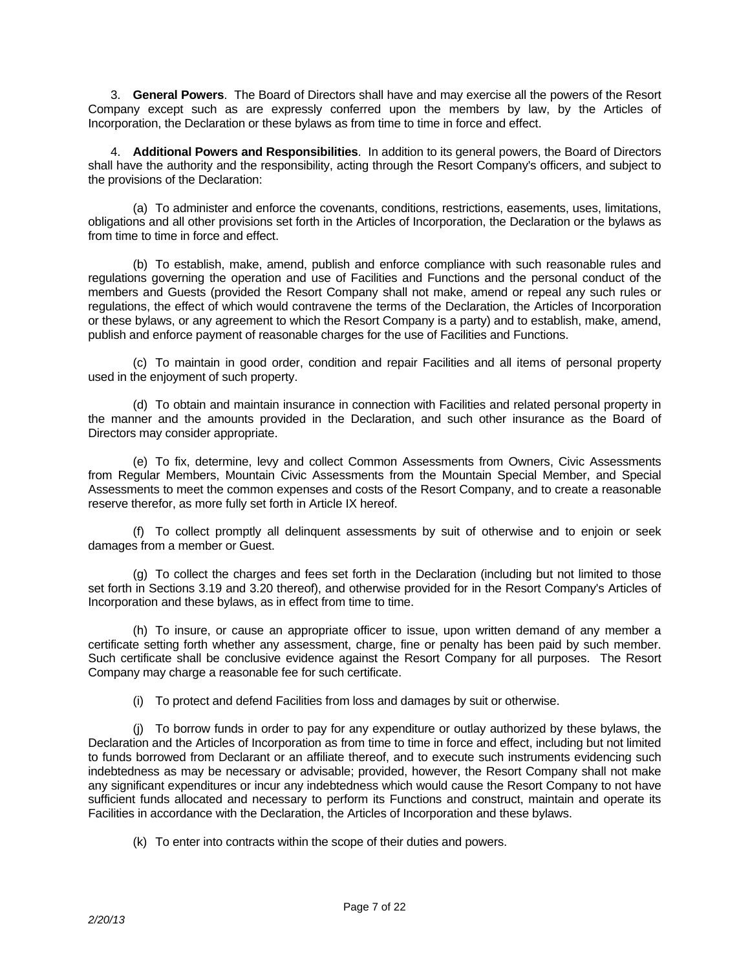3. **General Powers**. The Board of Directors shall have and may exercise all the powers of the Resort Company except such as are expressly conferred upon the members by law, by the Articles of Incorporation, the Declaration or these bylaws as from time to time in force and effect.

 4. **Additional Powers and Responsibilities**. In addition to its general powers, the Board of Directors shall have the authority and the responsibility, acting through the Resort Company's officers, and subject to the provisions of the Declaration:

 (a) To administer and enforce the covenants, conditions, restrictions, easements, uses, limitations, obligations and all other provisions set forth in the Articles of Incorporation, the Declaration or the bylaws as from time to time in force and effect.

 (b) To establish, make, amend, publish and enforce compliance with such reasonable rules and regulations governing the operation and use of Facilities and Functions and the personal conduct of the members and Guests (provided the Resort Company shall not make, amend or repeal any such rules or regulations, the effect of which would contravene the terms of the Declaration, the Articles of Incorporation or these bylaws, or any agreement to which the Resort Company is a party) and to establish, make, amend, publish and enforce payment of reasonable charges for the use of Facilities and Functions.

 (c) To maintain in good order, condition and repair Facilities and all items of personal property used in the enjoyment of such property.

 (d) To obtain and maintain insurance in connection with Facilities and related personal property in the manner and the amounts provided in the Declaration, and such other insurance as the Board of Directors may consider appropriate.

 (e) To fix, determine, levy and collect Common Assessments from Owners, Civic Assessments from Regular Members, Mountain Civic Assessments from the Mountain Special Member, and Special Assessments to meet the common expenses and costs of the Resort Company, and to create a reasonable reserve therefor, as more fully set forth in Article IX hereof.

 (f) To collect promptly all delinquent assessments by suit of otherwise and to enjoin or seek damages from a member or Guest.

 (g) To collect the charges and fees set forth in the Declaration (including but not limited to those set forth in Sections 3.19 and 3.20 thereof), and otherwise provided for in the Resort Company's Articles of Incorporation and these bylaws, as in effect from time to time.

 (h) To insure, or cause an appropriate officer to issue, upon written demand of any member a certificate setting forth whether any assessment, charge, fine or penalty has been paid by such member. Such certificate shall be conclusive evidence against the Resort Company for all purposes. The Resort Company may charge a reasonable fee for such certificate.

(i) To protect and defend Facilities from loss and damages by suit or otherwise.

 (j) To borrow funds in order to pay for any expenditure or outlay authorized by these bylaws, the Declaration and the Articles of Incorporation as from time to time in force and effect, including but not limited to funds borrowed from Declarant or an affiliate thereof, and to execute such instruments evidencing such indebtedness as may be necessary or advisable; provided, however, the Resort Company shall not make any significant expenditures or incur any indebtedness which would cause the Resort Company to not have sufficient funds allocated and necessary to perform its Functions and construct, maintain and operate its Facilities in accordance with the Declaration, the Articles of Incorporation and these bylaws.

(k) To enter into contracts within the scope of their duties and powers.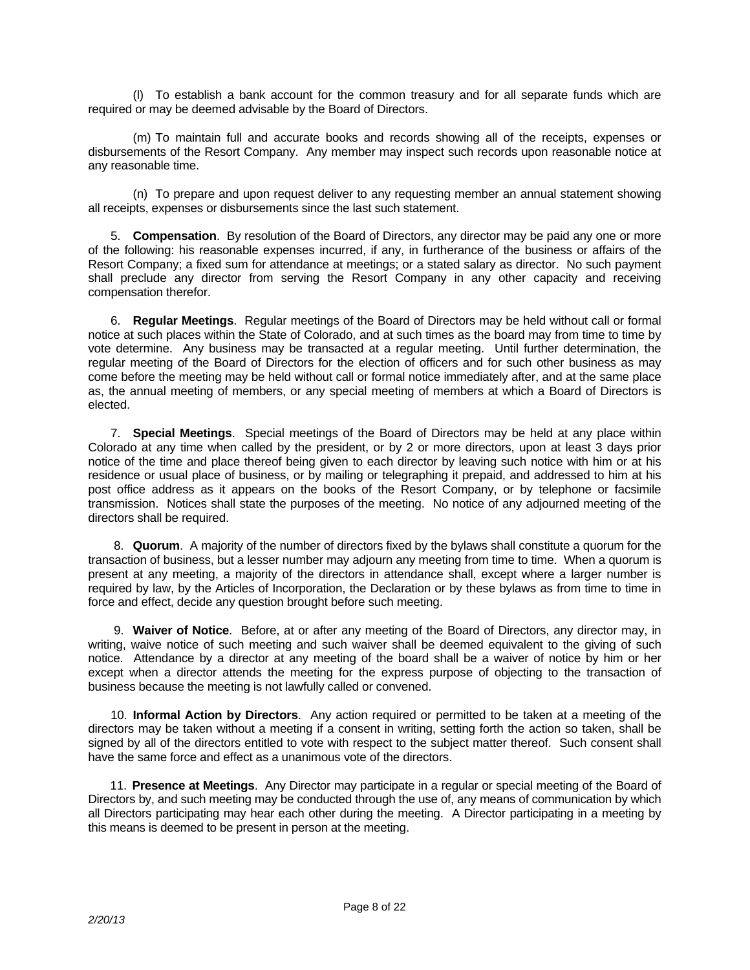(l) To establish a bank account for the common treasury and for all separate funds which are required or may be deemed advisable by the Board of Directors.

 (m) To maintain full and accurate books and records showing all of the receipts, expenses or disbursements of the Resort Company. Any member may inspect such records upon reasonable notice at any reasonable time.

 (n) To prepare and upon request deliver to any requesting member an annual statement showing all receipts, expenses or disbursements since the last such statement.

 5. **Compensation**. By resolution of the Board of Directors, any director may be paid any one or more of the following: his reasonable expenses incurred, if any, in furtherance of the business or affairs of the Resort Company; a fixed sum for attendance at meetings; or a stated salary as director. No such payment shall preclude any director from serving the Resort Company in any other capacity and receiving compensation therefor.

 6. **Regular Meetings**. Regular meetings of the Board of Directors may be held without call or formal notice at such places within the State of Colorado, and at such times as the board may from time to time by vote determine. Any business may be transacted at a regular meeting. Until further determination, the regular meeting of the Board of Directors for the election of officers and for such other business as may come before the meeting may be held without call or formal notice immediately after, and at the same place as, the annual meeting of members, or any special meeting of members at which a Board of Directors is elected.

 7. **Special Meetings**. Special meetings of the Board of Directors may be held at any place within Colorado at any time when called by the president, or by 2 or more directors, upon at least 3 days prior notice of the time and place thereof being given to each director by leaving such notice with him or at his residence or usual place of business, or by mailing or telegraphing it prepaid, and addressed to him at his post office address as it appears on the books of the Resort Company, or by telephone or facsimile transmission. Notices shall state the purposes of the meeting. No notice of any adjourned meeting of the directors shall be required.

 8. **Quorum**. A majority of the number of directors fixed by the bylaws shall constitute a quorum for the transaction of business, but a lesser number may adjourn any meeting from time to time. When a quorum is present at any meeting, a majority of the directors in attendance shall, except where a larger number is required by law, by the Articles of Incorporation, the Declaration or by these bylaws as from time to time in force and effect, decide any question brought before such meeting.

 9. **Waiver of Notice**. Before, at or after any meeting of the Board of Directors, any director may, in writing, waive notice of such meeting and such waiver shall be deemed equivalent to the giving of such notice. Attendance by a director at any meeting of the board shall be a waiver of notice by him or her except when a director attends the meeting for the express purpose of objecting to the transaction of business because the meeting is not lawfully called or convened.

 10. **Informal Action by Directors**. Any action required or permitted to be taken at a meeting of the directors may be taken without a meeting if a consent in writing, setting forth the action so taken, shall be signed by all of the directors entitled to vote with respect to the subject matter thereof. Such consent shall have the same force and effect as a unanimous vote of the directors.

 11. **Presence at Meetings**. Any Director may participate in a regular or special meeting of the Board of Directors by, and such meeting may be conducted through the use of, any means of communication by which all Directors participating may hear each other during the meeting. A Director participating in a meeting by this means is deemed to be present in person at the meeting.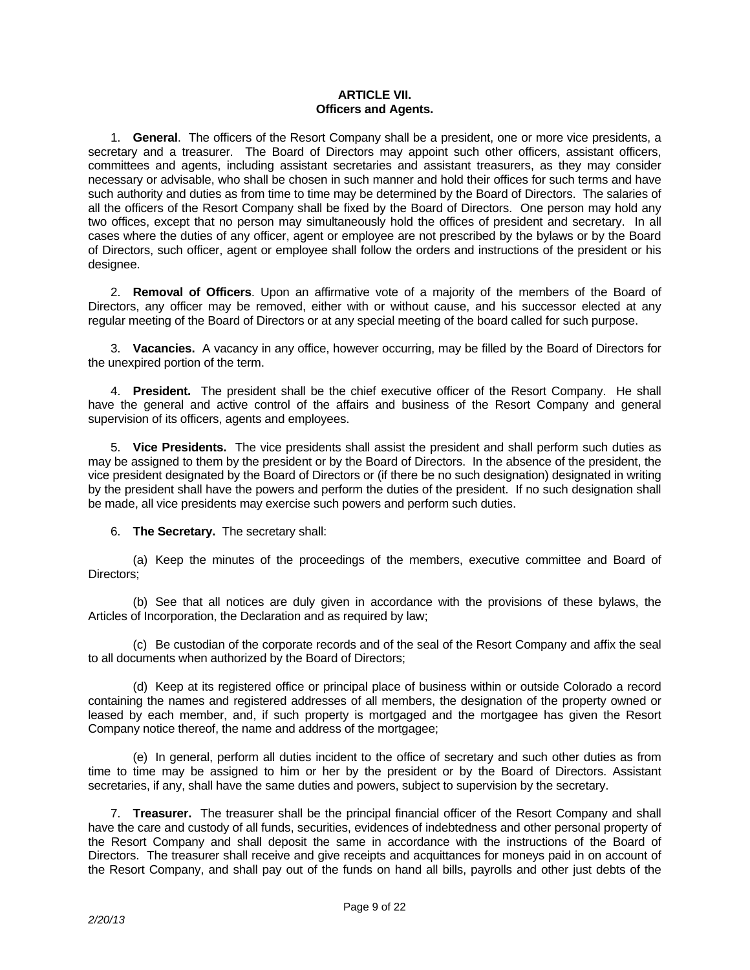### **ARTICLE VII. Officers and Agents.**

 1. **General**. The officers of the Resort Company shall be a president, one or more vice presidents, a secretary and a treasurer. The Board of Directors may appoint such other officers, assistant officers, committees and agents, including assistant secretaries and assistant treasurers, as they may consider necessary or advisable, who shall be chosen in such manner and hold their offices for such terms and have such authority and duties as from time to time may be determined by the Board of Directors. The salaries of all the officers of the Resort Company shall be fixed by the Board of Directors. One person may hold any two offices, except that no person may simultaneously hold the offices of president and secretary. In all cases where the duties of any officer, agent or employee are not prescribed by the bylaws or by the Board of Directors, such officer, agent or employee shall follow the orders and instructions of the president or his designee.

 2. **Removal of Officers**. Upon an affirmative vote of a majority of the members of the Board of Directors, any officer may be removed, either with or without cause, and his successor elected at any regular meeting of the Board of Directors or at any special meeting of the board called for such purpose.

 3. **Vacancies.** A vacancy in any office, however occurring, may be filled by the Board of Directors for the unexpired portion of the term.

 4. **President.** The president shall be the chief executive officer of the Resort Company. He shall have the general and active control of the affairs and business of the Resort Company and general supervision of its officers, agents and employees.

 5. **Vice Presidents.** The vice presidents shall assist the president and shall perform such duties as may be assigned to them by the president or by the Board of Directors. In the absence of the president, the vice president designated by the Board of Directors or (if there be no such designation) designated in writing by the president shall have the powers and perform the duties of the president. If no such designation shall be made, all vice presidents may exercise such powers and perform such duties.

6. **The Secretary.** The secretary shall:

 (a) Keep the minutes of the proceedings of the members, executive committee and Board of Directors;

 (b) See that all notices are duly given in accordance with the provisions of these bylaws, the Articles of Incorporation, the Declaration and as required by law;

 (c) Be custodian of the corporate records and of the seal of the Resort Company and affix the seal to all documents when authorized by the Board of Directors;

 (d) Keep at its registered office or principal place of business within or outside Colorado a record containing the names and registered addresses of all members, the designation of the property owned or leased by each member, and, if such property is mortgaged and the mortgagee has given the Resort Company notice thereof, the name and address of the mortgagee;

 (e) In general, perform all duties incident to the office of secretary and such other duties as from time to time may be assigned to him or her by the president or by the Board of Directors. Assistant secretaries, if any, shall have the same duties and powers, subject to supervision by the secretary.

 7. **Treasurer.** The treasurer shall be the principal financial officer of the Resort Company and shall have the care and custody of all funds, securities, evidences of indebtedness and other personal property of the Resort Company and shall deposit the same in accordance with the instructions of the Board of Directors. The treasurer shall receive and give receipts and acquittances for moneys paid in on account of the Resort Company, and shall pay out of the funds on hand all bills, payrolls and other just debts of the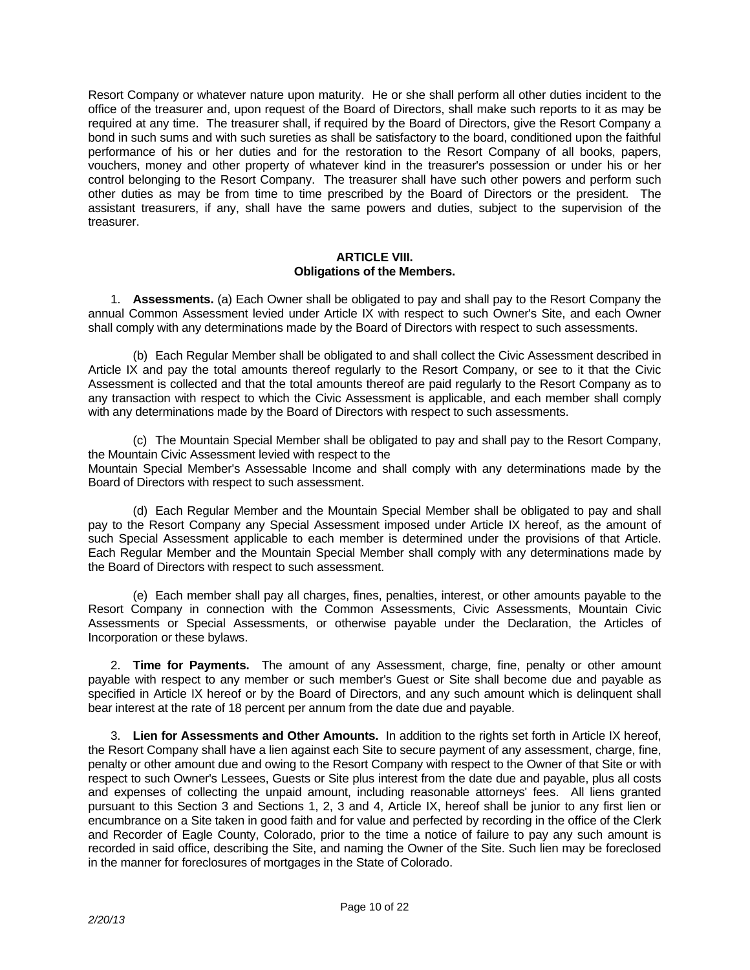Resort Company or whatever nature upon maturity. He or she shall perform all other duties incident to the office of the treasurer and, upon request of the Board of Directors, shall make such reports to it as may be required at any time. The treasurer shall, if required by the Board of Directors, give the Resort Company a bond in such sums and with such sureties as shall be satisfactory to the board, conditioned upon the faithful performance of his or her duties and for the restoration to the Resort Company of all books, papers, vouchers, money and other property of whatever kind in the treasurer's possession or under his or her control belonging to the Resort Company. The treasurer shall have such other powers and perform such other duties as may be from time to time prescribed by the Board of Directors or the president. The assistant treasurers, if any, shall have the same powers and duties, subject to the supervision of the treasurer.

#### **ARTICLE VIII. Obligations of the Members.**

 1. **Assessments.** (a) Each Owner shall be obligated to pay and shall pay to the Resort Company the annual Common Assessment levied under Article IX with respect to such Owner's Site, and each Owner shall comply with any determinations made by the Board of Directors with respect to such assessments.

 (b) Each Regular Member shall be obligated to and shall collect the Civic Assessment described in Article IX and pay the total amounts thereof regularly to the Resort Company, or see to it that the Civic Assessment is collected and that the total amounts thereof are paid regularly to the Resort Company as to any transaction with respect to which the Civic Assessment is applicable, and each member shall comply with any determinations made by the Board of Directors with respect to such assessments.

 (c) The Mountain Special Member shall be obligated to pay and shall pay to the Resort Company, the Mountain Civic Assessment levied with respect to the Mountain Special Member's Assessable Income and shall comply with any determinations made by the Board of Directors with respect to such assessment.

 (d) Each Regular Member and the Mountain Special Member shall be obligated to pay and shall pay to the Resort Company any Special Assessment imposed under Article IX hereof, as the amount of such Special Assessment applicable to each member is determined under the provisions of that Article. Each Regular Member and the Mountain Special Member shall comply with any determinations made by the Board of Directors with respect to such assessment.

 (e) Each member shall pay all charges, fines, penalties, interest, or other amounts payable to the Resort Company in connection with the Common Assessments, Civic Assessments, Mountain Civic Assessments or Special Assessments, or otherwise payable under the Declaration, the Articles of Incorporation or these bylaws.

 2. **Time for Payments.** The amount of any Assessment, charge, fine, penalty or other amount payable with respect to any member or such member's Guest or Site shall become due and payable as specified in Article IX hereof or by the Board of Directors, and any such amount which is delinquent shall bear interest at the rate of 18 percent per annum from the date due and payable.

 3. **Lien for Assessments and Other Amounts.** In addition to the rights set forth in Article IX hereof, the Resort Company shall have a lien against each Site to secure payment of any assessment, charge, fine, penalty or other amount due and owing to the Resort Company with respect to the Owner of that Site or with respect to such Owner's Lessees, Guests or Site plus interest from the date due and payable, plus all costs and expenses of collecting the unpaid amount, including reasonable attorneys' fees. All liens granted pursuant to this Section 3 and Sections 1, 2, 3 and 4, Article IX, hereof shall be junior to any first lien or encumbrance on a Site taken in good faith and for value and perfected by recording in the office of the Clerk and Recorder of Eagle County, Colorado, prior to the time a notice of failure to pay any such amount is recorded in said office, describing the Site, and naming the Owner of the Site. Such lien may be foreclosed in the manner for foreclosures of mortgages in the State of Colorado.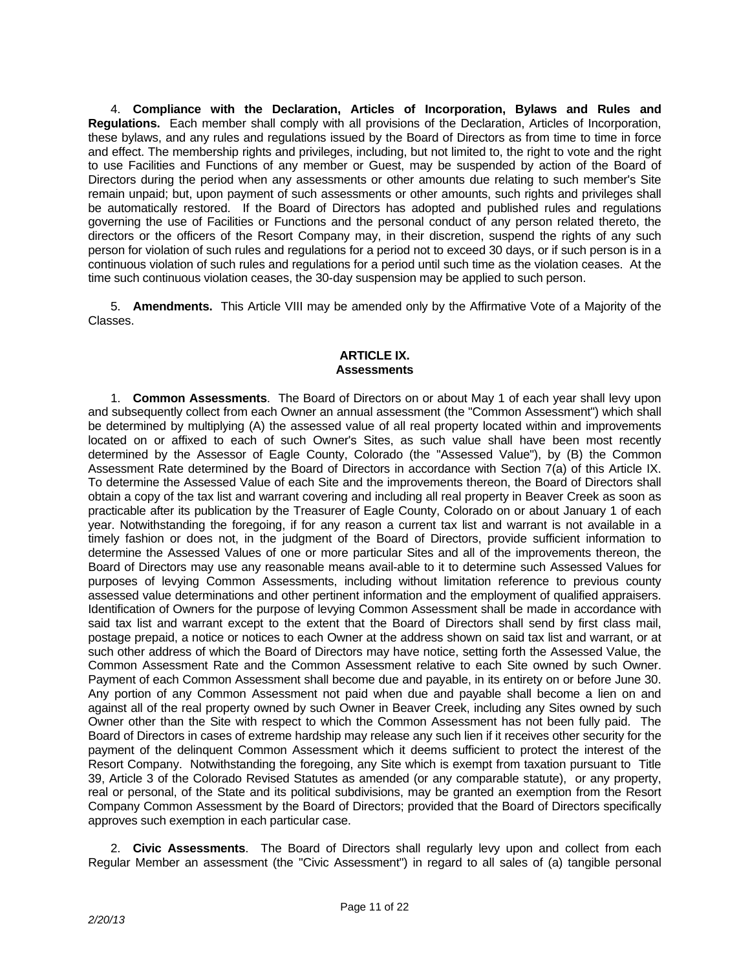4. **Compliance with the Declaration, Articles of Incorporation, Bylaws and Rules and Regulations.** Each member shall comply with all provisions of the Declaration, Articles of Incorporation, these bylaws, and any rules and regulations issued by the Board of Directors as from time to time in force and effect. The membership rights and privileges, including, but not limited to, the right to vote and the right to use Facilities and Functions of any member or Guest, may be suspended by action of the Board of Directors during the period when any assessments or other amounts due relating to such member's Site remain unpaid; but, upon payment of such assessments or other amounts, such rights and privileges shall be automatically restored. If the Board of Directors has adopted and published rules and regulations governing the use of Facilities or Functions and the personal conduct of any person related thereto, the directors or the officers of the Resort Company may, in their discretion, suspend the rights of any such person for violation of such rules and regulations for a period not to exceed 30 days, or if such person is in a continuous violation of such rules and regulations for a period until such time as the violation ceases. At the time such continuous violation ceases, the 30-day suspension may be applied to such person.

 5. **Amendments.** This Article VIII may be amended only by the Affirmative Vote of a Majority of the Classes.

### **ARTICLE IX. Assessments**

 1. **Common Assessments**. The Board of Directors on or about May 1 of each year shall levy upon and subsequently collect from each Owner an annual assessment (the "Common Assessment") which shall be determined by multiplying (A) the assessed value of all real property located within and improvements located on or affixed to each of such Owner's Sites, as such value shall have been most recently determined by the Assessor of Eagle County, Colorado (the "Assessed Value"), by (B) the Common Assessment Rate determined by the Board of Directors in accordance with Section 7(a) of this Article IX. To determine the Assessed Value of each Site and the improvements thereon, the Board of Directors shall obtain a copy of the tax list and warrant covering and including all real property in Beaver Creek as soon as practicable after its publication by the Treasurer of Eagle County, Colorado on or about January 1 of each year. Notwithstanding the foregoing, if for any reason a current tax list and warrant is not available in a timely fashion or does not, in the judgment of the Board of Directors, provide sufficient information to determine the Assessed Values of one or more particular Sites and all of the improvements thereon, the Board of Directors may use any reasonable means avail-able to it to determine such Assessed Values for purposes of levying Common Assessments, including without limitation reference to previous county assessed value determinations and other pertinent information and the employment of qualified appraisers. Identification of Owners for the purpose of levying Common Assessment shall be made in accordance with said tax list and warrant except to the extent that the Board of Directors shall send by first class mail, postage prepaid, a notice or notices to each Owner at the address shown on said tax list and warrant, or at such other address of which the Board of Directors may have notice, setting forth the Assessed Value, the Common Assessment Rate and the Common Assessment relative to each Site owned by such Owner. Payment of each Common Assessment shall become due and payable, in its entirety on or before June 30. Any portion of any Common Assessment not paid when due and payable shall become a lien on and against all of the real property owned by such Owner in Beaver Creek, including any Sites owned by such Owner other than the Site with respect to which the Common Assessment has not been fully paid. The Board of Directors in cases of extreme hardship may release any such lien if it receives other security for the payment of the delinquent Common Assessment which it deems sufficient to protect the interest of the Resort Company. Notwithstanding the foregoing, any Site which is exempt from taxation pursuant to Title 39, Article 3 of the Colorado Revised Statutes as amended (or any comparable statute), or any property, real or personal, of the State and its political subdivisions, may be granted an exemption from the Resort Company Common Assessment by the Board of Directors; provided that the Board of Directors specifically approves such exemption in each particular case.

 2. **Civic Assessments**. The Board of Directors shall regularly levy upon and collect from each Regular Member an assessment (the "Civic Assessment") in regard to all sales of (a) tangible personal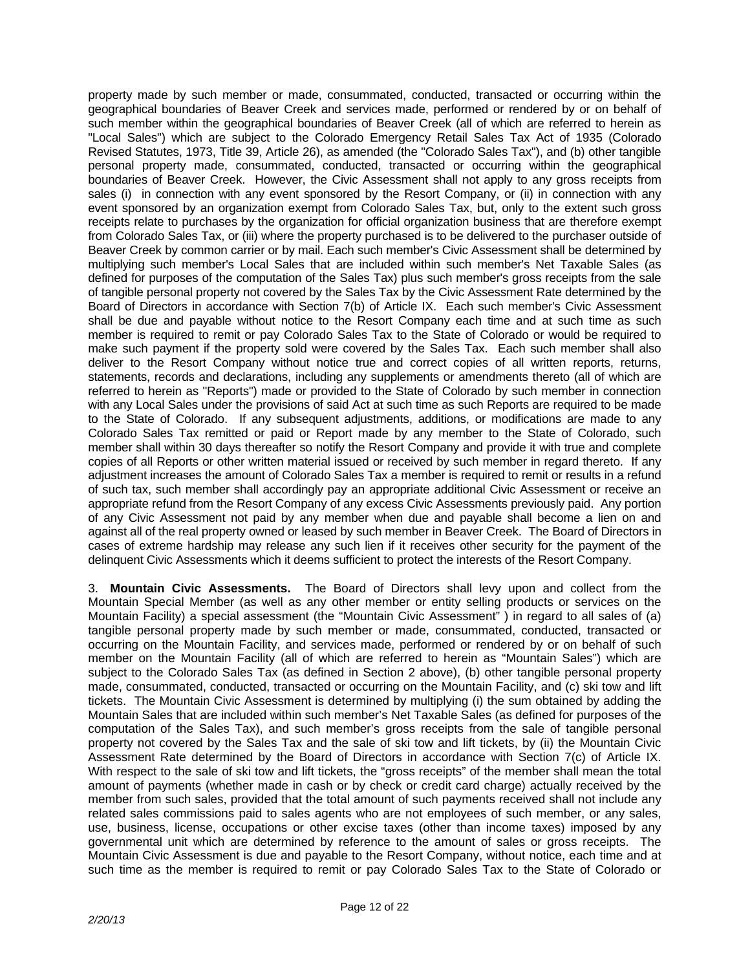property made by such member or made, consummated, conducted, transacted or occurring within the geographical boundaries of Beaver Creek and services made, performed or rendered by or on behalf of such member within the geographical boundaries of Beaver Creek (all of which are referred to herein as "Local Sales") which are subject to the Colorado Emergency Retail Sales Tax Act of 1935 (Colorado Revised Statutes, 1973, Title 39, Article 26), as amended (the "Colorado Sales Tax"), and (b) other tangible personal property made, consummated, conducted, transacted or occurring within the geographical boundaries of Beaver Creek. However, the Civic Assessment shall not apply to any gross receipts from sales (i) in connection with any event sponsored by the Resort Company, or (ii) in connection with any event sponsored by an organization exempt from Colorado Sales Tax, but, only to the extent such gross receipts relate to purchases by the organization for official organization business that are therefore exempt from Colorado Sales Tax, or (iii) where the property purchased is to be delivered to the purchaser outside of Beaver Creek by common carrier or by mail. Each such member's Civic Assessment shall be determined by multiplying such member's Local Sales that are included within such member's Net Taxable Sales (as defined for purposes of the computation of the Sales Tax) plus such member's gross receipts from the sale of tangible personal property not covered by the Sales Tax by the Civic Assessment Rate determined by the Board of Directors in accordance with Section 7(b) of Article IX. Each such member's Civic Assessment shall be due and payable without notice to the Resort Company each time and at such time as such member is required to remit or pay Colorado Sales Tax to the State of Colorado or would be required to make such payment if the property sold were covered by the Sales Tax. Each such member shall also deliver to the Resort Company without notice true and correct copies of all written reports, returns, statements, records and declarations, including any supplements or amendments thereto (all of which are referred to herein as "Reports") made or provided to the State of Colorado by such member in connection with any Local Sales under the provisions of said Act at such time as such Reports are required to be made to the State of Colorado. If any subsequent adjustments, additions, or modifications are made to any Colorado Sales Tax remitted or paid or Report made by any member to the State of Colorado, such member shall within 30 days thereafter so notify the Resort Company and provide it with true and complete copies of all Reports or other written material issued or received by such member in regard thereto. If any adjustment increases the amount of Colorado Sales Tax a member is required to remit or results in a refund of such tax, such member shall accordingly pay an appropriate additional Civic Assessment or receive an appropriate refund from the Resort Company of any excess Civic Assessments previously paid. Any portion of any Civic Assessment not paid by any member when due and payable shall become a lien on and against all of the real property owned or leased by such member in Beaver Creek. The Board of Directors in cases of extreme hardship may release any such lien if it receives other security for the payment of the delinquent Civic Assessments which it deems sufficient to protect the interests of the Resort Company.

 3. **Mountain Civic Assessments.** The Board of Directors shall levy upon and collect from the Mountain Special Member (as well as any other member or entity selling products or services on the Mountain Facility) a special assessment (the "Mountain Civic Assessment" ) in regard to all sales of (a) tangible personal property made by such member or made, consummated, conducted, transacted or occurring on the Mountain Facility, and services made, performed or rendered by or on behalf of such member on the Mountain Facility (all of which are referred to herein as "Mountain Sales") which are subject to the Colorado Sales Tax (as defined in Section 2 above), (b) other tangible personal property made, consummated, conducted, transacted or occurring on the Mountain Facility, and (c) ski tow and lift tickets. The Mountain Civic Assessment is determined by multiplying (i) the sum obtained by adding the Mountain Sales that are included within such member's Net Taxable Sales (as defined for purposes of the computation of the Sales Tax), and such member's gross receipts from the sale of tangible personal property not covered by the Sales Tax and the sale of ski tow and lift tickets, by (ii) the Mountain Civic Assessment Rate determined by the Board of Directors in accordance with Section 7(c) of Article IX. With respect to the sale of ski tow and lift tickets, the "gross receipts" of the member shall mean the total amount of payments (whether made in cash or by check or credit card charge) actually received by the member from such sales, provided that the total amount of such payments received shall not include any related sales commissions paid to sales agents who are not employees of such member, or any sales, use, business, license, occupations or other excise taxes (other than income taxes) imposed by any governmental unit which are determined by reference to the amount of sales or gross receipts. The Mountain Civic Assessment is due and payable to the Resort Company, without notice, each time and at such time as the member is required to remit or pay Colorado Sales Tax to the State of Colorado or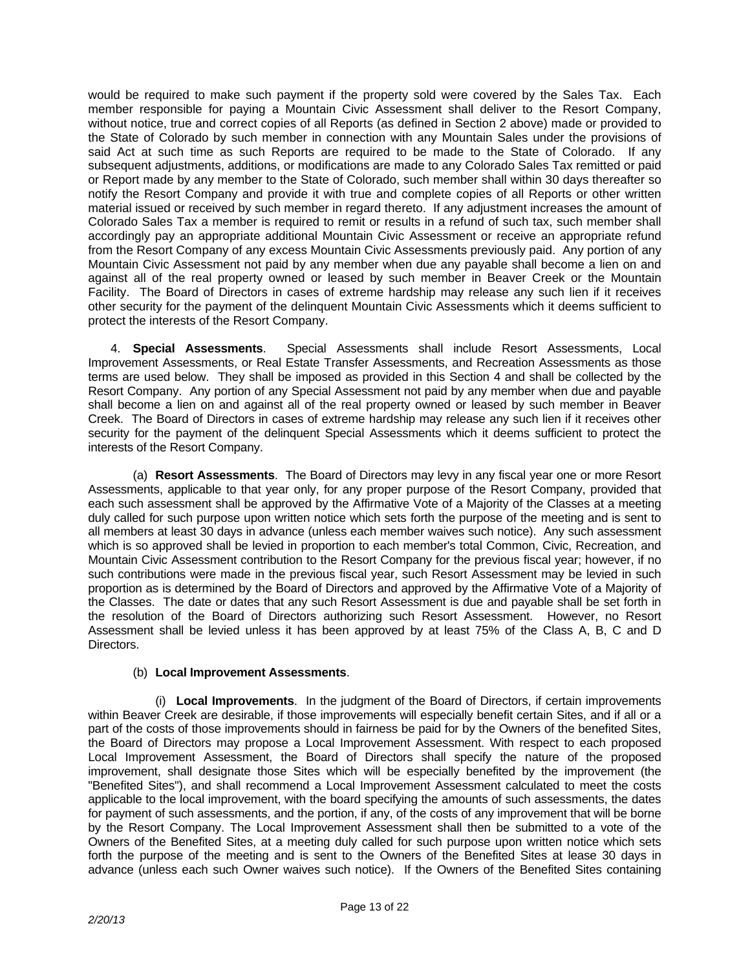would be required to make such payment if the property sold were covered by the Sales Tax. Each member responsible for paying a Mountain Civic Assessment shall deliver to the Resort Company, without notice, true and correct copies of all Reports (as defined in Section 2 above) made or provided to the State of Colorado by such member in connection with any Mountain Sales under the provisions of said Act at such time as such Reports are required to be made to the State of Colorado. If any subsequent adjustments, additions, or modifications are made to any Colorado Sales Tax remitted or paid or Report made by any member to the State of Colorado, such member shall within 30 days thereafter so notify the Resort Company and provide it with true and complete copies of all Reports or other written material issued or received by such member in regard thereto. If any adjustment increases the amount of Colorado Sales Tax a member is required to remit or results in a refund of such tax, such member shall accordingly pay an appropriate additional Mountain Civic Assessment or receive an appropriate refund from the Resort Company of any excess Mountain Civic Assessments previously paid. Any portion of any Mountain Civic Assessment not paid by any member when due any payable shall become a lien on and against all of the real property owned or leased by such member in Beaver Creek or the Mountain Facility. The Board of Directors in cases of extreme hardship may release any such lien if it receives other security for the payment of the delinquent Mountain Civic Assessments which it deems sufficient to protect the interests of the Resort Company.

 4. **Special Assessments**. Special Assessments shall include Resort Assessments, Local Improvement Assessments, or Real Estate Transfer Assessments, and Recreation Assessments as those terms are used below. They shall be imposed as provided in this Section 4 and shall be collected by the Resort Company. Any portion of any Special Assessment not paid by any member when due and payable shall become a lien on and against all of the real property owned or leased by such member in Beaver Creek. The Board of Directors in cases of extreme hardship may release any such lien if it receives other security for the payment of the delinquent Special Assessments which it deems sufficient to protect the interests of the Resort Company.

 (a) **Resort Assessments**. The Board of Directors may levy in any fiscal year one or more Resort Assessments, applicable to that year only, for any proper purpose of the Resort Company, provided that each such assessment shall be approved by the Affirmative Vote of a Majority of the Classes at a meeting duly called for such purpose upon written notice which sets forth the purpose of the meeting and is sent to all members at least 30 days in advance (unless each member waives such notice). Any such assessment which is so approved shall be levied in proportion to each member's total Common, Civic, Recreation, and Mountain Civic Assessment contribution to the Resort Company for the previous fiscal year; however, if no such contributions were made in the previous fiscal year, such Resort Assessment may be levied in such proportion as is determined by the Board of Directors and approved by the Affirmative Vote of a Majority of the Classes. The date or dates that any such Resort Assessment is due and payable shall be set forth in the resolution of the Board of Directors authorizing such Resort Assessment. However, no Resort Assessment shall be levied unless it has been approved by at least 75% of the Class A, B, C and D Directors.

## (b) **Local Improvement Assessments**.

 (i) **Local Improvements**. In the judgment of the Board of Directors, if certain improvements within Beaver Creek are desirable, if those improvements will especially benefit certain Sites, and if all or a part of the costs of those improvements should in fairness be paid for by the Owners of the benefited Sites, the Board of Directors may propose a Local Improvement Assessment. With respect to each proposed Local Improvement Assessment, the Board of Directors shall specify the nature of the proposed improvement, shall designate those Sites which will be especially benefited by the improvement (the "Benefited Sites"), and shall recommend a Local Improvement Assessment calculated to meet the costs applicable to the local improvement, with the board specifying the amounts of such assessments, the dates for payment of such assessments, and the portion, if any, of the costs of any improvement that will be borne by the Resort Company. The Local Improvement Assessment shall then be submitted to a vote of the Owners of the Benefited Sites, at a meeting duly called for such purpose upon written notice which sets forth the purpose of the meeting and is sent to the Owners of the Benefited Sites at lease 30 days in advance (unless each such Owner waives such notice). If the Owners of the Benefited Sites containing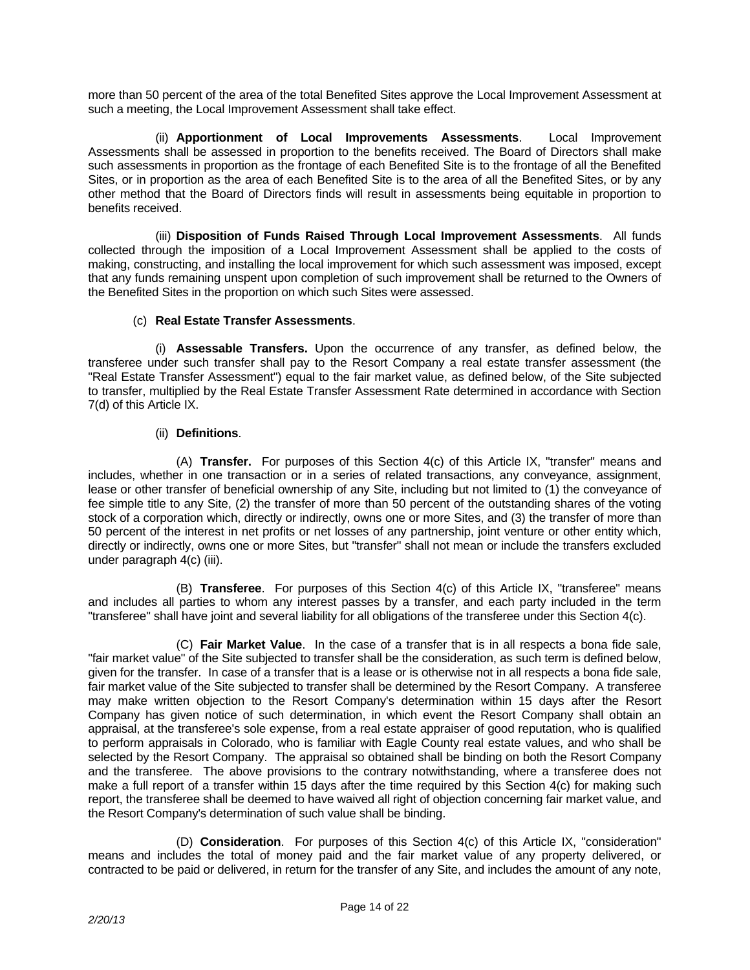more than 50 percent of the area of the total Benefited Sites approve the Local Improvement Assessment at such a meeting, the Local Improvement Assessment shall take effect.

 (ii) **Apportionment of Local Improvements Assessments**. Local Improvement Assessments shall be assessed in proportion to the benefits received. The Board of Directors shall make such assessments in proportion as the frontage of each Benefited Site is to the frontage of all the Benefited Sites, or in proportion as the area of each Benefited Site is to the area of all the Benefited Sites, or by any other method that the Board of Directors finds will result in assessments being equitable in proportion to benefits received.

 (iii) **Disposition of Funds Raised Through Local Improvement Assessments**. All funds collected through the imposition of a Local Improvement Assessment shall be applied to the costs of making, constructing, and installing the local improvement for which such assessment was imposed, except that any funds remaining unspent upon completion of such improvement shall be returned to the Owners of the Benefited Sites in the proportion on which such Sites were assessed.

# (c) **Real Estate Transfer Assessments**.

 (i) **Assessable Transfers.** Upon the occurrence of any transfer, as defined below, the transferee under such transfer shall pay to the Resort Company a real estate transfer assessment (the "Real Estate Transfer Assessment") equal to the fair market value, as defined below, of the Site subjected to transfer, multiplied by the Real Estate Transfer Assessment Rate determined in accordance with Section 7(d) of this Article IX.

# (ii) **Definitions**.

 (A) **Transfer.** For purposes of this Section 4(c) of this Article IX, "transfer" means and includes, whether in one transaction or in a series of related transactions, any conveyance, assignment, lease or other transfer of beneficial ownership of any Site, including but not limited to (1) the conveyance of fee simple title to any Site, (2) the transfer of more than 50 percent of the outstanding shares of the voting stock of a corporation which, directly or indirectly, owns one or more Sites, and (3) the transfer of more than 50 percent of the interest in net profits or net losses of any partnership, joint venture or other entity which, directly or indirectly, owns one or more Sites, but "transfer" shall not mean or include the transfers excluded under paragraph 4(c) (iii).

 (B) **Transferee**. For purposes of this Section 4(c) of this Article IX, "transferee" means and includes all parties to whom any interest passes by a transfer, and each party included in the term "transferee" shall have joint and several liability for all obligations of the transferee under this Section 4(c).

 (C) **Fair Market Value**. In the case of a transfer that is in all respects a bona fide sale, "fair market value" of the Site subjected to transfer shall be the consideration, as such term is defined below, given for the transfer. In case of a transfer that is a lease or is otherwise not in all respects a bona fide sale, fair market value of the Site subjected to transfer shall be determined by the Resort Company. A transferee may make written objection to the Resort Company's determination within 15 days after the Resort Company has given notice of such determination, in which event the Resort Company shall obtain an appraisal, at the transferee's sole expense, from a real estate appraiser of good reputation, who is qualified to perform appraisals in Colorado, who is familiar with Eagle County real estate values, and who shall be selected by the Resort Company. The appraisal so obtained shall be binding on both the Resort Company and the transferee. The above provisions to the contrary notwithstanding, where a transferee does not make a full report of a transfer within 15 days after the time required by this Section 4(c) for making such report, the transferee shall be deemed to have waived all right of objection concerning fair market value, and the Resort Company's determination of such value shall be binding.

 (D) **Consideration**. For purposes of this Section 4(c) of this Article IX, "consideration" means and includes the total of money paid and the fair market value of any property delivered, or contracted to be paid or delivered, in return for the transfer of any Site, and includes the amount of any note,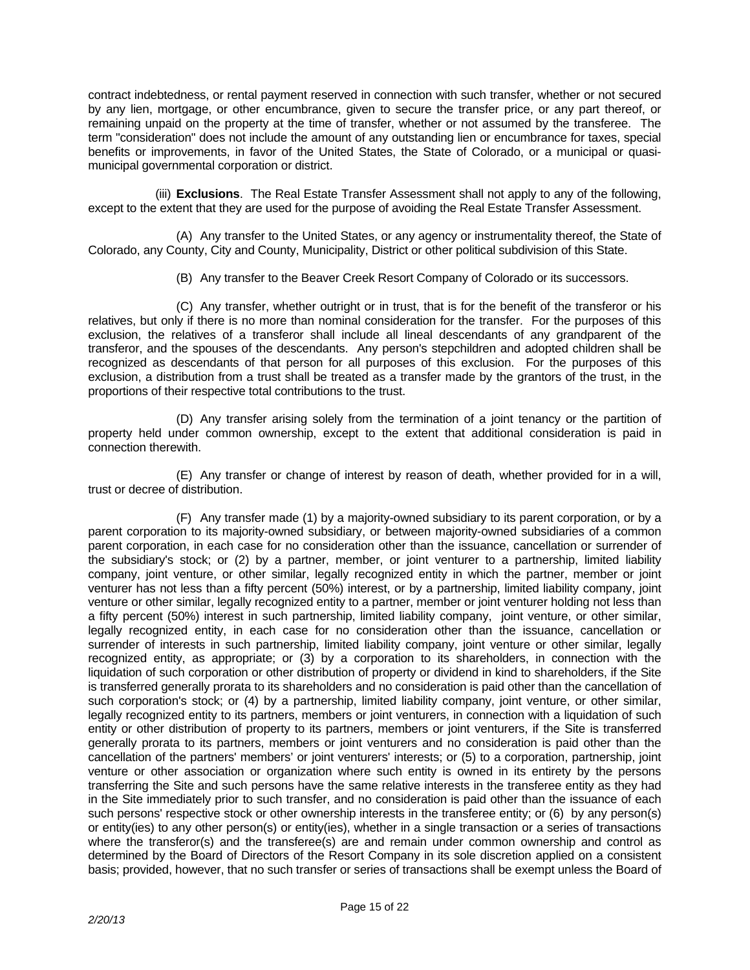contract indebtedness, or rental payment reserved in connection with such transfer, whether or not secured by any lien, mortgage, or other encumbrance, given to secure the transfer price, or any part thereof, or remaining unpaid on the property at the time of transfer, whether or not assumed by the transferee. The term "consideration" does not include the amount of any outstanding lien or encumbrance for taxes, special benefits or improvements, in favor of the United States, the State of Colorado, or a municipal or quasimunicipal governmental corporation or district.

 (iii) **Exclusions**. The Real Estate Transfer Assessment shall not apply to any of the following, except to the extent that they are used for the purpose of avoiding the Real Estate Transfer Assessment.

 (A) Any transfer to the United States, or any agency or instrumentality thereof, the State of Colorado, any County, City and County, Municipality, District or other political subdivision of this State.

(B) Any transfer to the Beaver Creek Resort Company of Colorado or its successors.

 (C) Any transfer, whether outright or in trust, that is for the benefit of the transferor or his relatives, but only if there is no more than nominal consideration for the transfer. For the purposes of this exclusion, the relatives of a transferor shall include all lineal descendants of any grandparent of the transferor, and the spouses of the descendants. Any person's stepchildren and adopted children shall be recognized as descendants of that person for all purposes of this exclusion. For the purposes of this exclusion, a distribution from a trust shall be treated as a transfer made by the grantors of the trust, in the proportions of their respective total contributions to the trust.

 (D) Any transfer arising solely from the termination of a joint tenancy or the partition of property held under common ownership, except to the extent that additional consideration is paid in connection therewith.

 (E) Any transfer or change of interest by reason of death, whether provided for in a will, trust or decree of distribution.

 (F) Any transfer made (1) by a majority-owned subsidiary to its parent corporation, or by a parent corporation to its majority-owned subsidiary, or between majority-owned subsidiaries of a common parent corporation, in each case for no consideration other than the issuance, cancellation or surrender of the subsidiary's stock; or (2) by a partner, member, or joint venturer to a partnership, limited liability company, joint venture, or other similar, legally recognized entity in which the partner, member or joint venturer has not less than a fifty percent (50%) interest, or by a partnership, limited liability company, joint venture or other similar, legally recognized entity to a partner, member or joint venturer holding not less than a fifty percent (50%) interest in such partnership, limited liability company, joint venture, or other similar, legally recognized entity, in each case for no consideration other than the issuance, cancellation or surrender of interests in such partnership, limited liability company, joint venture or other similar, legally recognized entity, as appropriate; or (3) by a corporation to its shareholders, in connection with the liquidation of such corporation or other distribution of property or dividend in kind to shareholders, if the Site is transferred generally prorata to its shareholders and no consideration is paid other than the cancellation of such corporation's stock; or (4) by a partnership, limited liability company, joint venture, or other similar, legally recognized entity to its partners, members or joint venturers, in connection with a liquidation of such entity or other distribution of property to its partners, members or joint venturers, if the Site is transferred generally prorata to its partners, members or joint venturers and no consideration is paid other than the cancellation of the partners' members' or joint venturers' interests; or (5) to a corporation, partnership, joint venture or other association or organization where such entity is owned in its entirety by the persons transferring the Site and such persons have the same relative interests in the transferee entity as they had in the Site immediately prior to such transfer, and no consideration is paid other than the issuance of each such persons' respective stock or other ownership interests in the transferee entity; or (6) by any person(s) or entity(ies) to any other person(s) or entity(ies), whether in a single transaction or a series of transactions where the transferor(s) and the transferee(s) are and remain under common ownership and control as determined by the Board of Directors of the Resort Company in its sole discretion applied on a consistent basis; provided, however, that no such transfer or series of transactions shall be exempt unless the Board of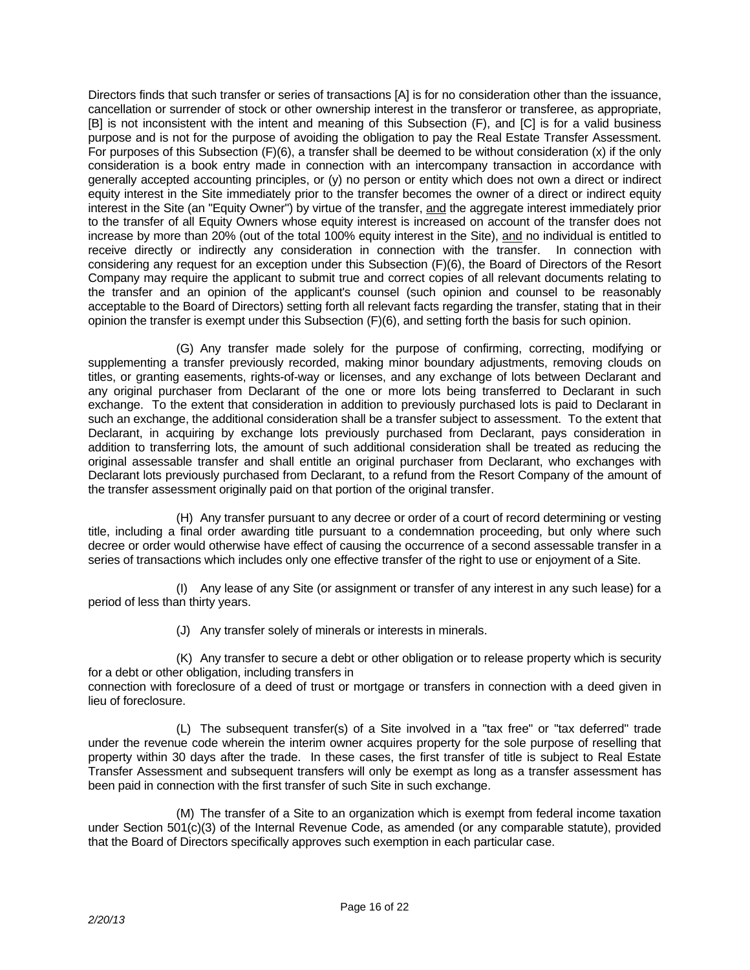Directors finds that such transfer or series of transactions [A] is for no consideration other than the issuance, cancellation or surrender of stock or other ownership interest in the transferor or transferee, as appropriate, [B] is not inconsistent with the intent and meaning of this Subsection (F), and [C] is for a valid business purpose and is not for the purpose of avoiding the obligation to pay the Real Estate Transfer Assessment. For purposes of this Subsection (F)(6), a transfer shall be deemed to be without consideration (x) if the only consideration is a book entry made in connection with an intercompany transaction in accordance with generally accepted accounting principles, or (y) no person or entity which does not own a direct or indirect equity interest in the Site immediately prior to the transfer becomes the owner of a direct or indirect equity interest in the Site (an "Equity Owner") by virtue of the transfer, and the aggregate interest immediately prior to the transfer of all Equity Owners whose equity interest is increased on account of the transfer does not increase by more than 20% (out of the total 100% equity interest in the Site), and no individual is entitled to receive directly or indirectly any consideration in connection with the transfer. In connection with considering any request for an exception under this Subsection (F)(6), the Board of Directors of the Resort Company may require the applicant to submit true and correct copies of all relevant documents relating to the transfer and an opinion of the applicant's counsel (such opinion and counsel to be reasonably acceptable to the Board of Directors) setting forth all relevant facts regarding the transfer, stating that in their opinion the transfer is exempt under this Subsection (F)(6), and setting forth the basis for such opinion.

 (G) Any transfer made solely for the purpose of confirming, correcting, modifying or supplementing a transfer previously recorded, making minor boundary adjustments, removing clouds on titles, or granting easements, rights-of-way or licenses, and any exchange of lots between Declarant and any original purchaser from Declarant of the one or more lots being transferred to Declarant in such exchange. To the extent that consideration in addition to previously purchased lots is paid to Declarant in such an exchange, the additional consideration shall be a transfer subject to assessment. To the extent that Declarant, in acquiring by exchange lots previously purchased from Declarant, pays consideration in addition to transferring lots, the amount of such additional consideration shall be treated as reducing the original assessable transfer and shall entitle an original purchaser from Declarant, who exchanges with Declarant lots previously purchased from Declarant, to a refund from the Resort Company of the amount of the transfer assessment originally paid on that portion of the original transfer.

 (H) Any transfer pursuant to any decree or order of a court of record determining or vesting title, including a final order awarding title pursuant to a condemnation proceeding, but only where such decree or order would otherwise have effect of causing the occurrence of a second assessable transfer in a series of transactions which includes only one effective transfer of the right to use or enjoyment of a Site.

 (I) Any lease of any Site (or assignment or transfer of any interest in any such lease) for a period of less than thirty years.

(J) Any transfer solely of minerals or interests in minerals.

 (K) Any transfer to secure a debt or other obligation or to release property which is security for a debt or other obligation, including transfers in

connection with foreclosure of a deed of trust or mortgage or transfers in connection with a deed given in lieu of foreclosure.

 (L) The subsequent transfer(s) of a Site involved in a "tax free" or "tax deferred" trade under the revenue code wherein the interim owner acquires property for the sole purpose of reselling that property within 30 days after the trade. In these cases, the first transfer of title is subject to Real Estate Transfer Assessment and subsequent transfers will only be exempt as long as a transfer assessment has been paid in connection with the first transfer of such Site in such exchange.

 (M) The transfer of a Site to an organization which is exempt from federal income taxation under Section 501(c)(3) of the Internal Revenue Code, as amended (or any comparable statute), provided that the Board of Directors specifically approves such exemption in each particular case.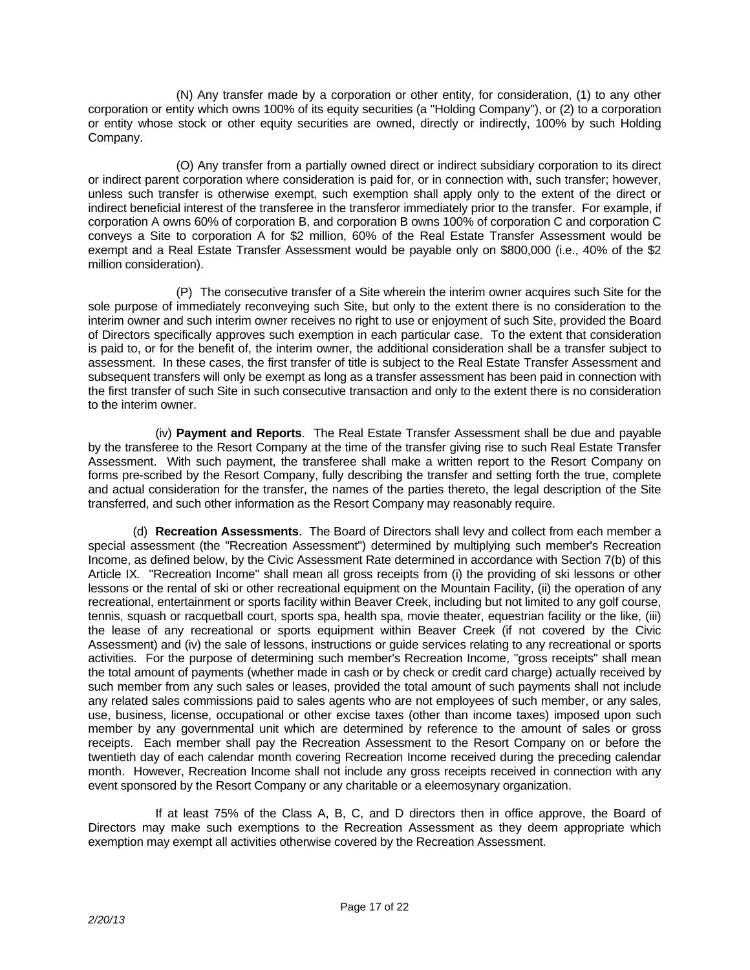(N) Any transfer made by a corporation or other entity, for consideration, (1) to any other corporation or entity which owns 100% of its equity securities (a "Holding Company"), or (2) to a corporation or entity whose stock or other equity securities are owned, directly or indirectly, 100% by such Holding Company.

 (O) Any transfer from a partially owned direct or indirect subsidiary corporation to its direct or indirect parent corporation where consideration is paid for, or in connection with, such transfer; however, unless such transfer is otherwise exempt, such exemption shall apply only to the extent of the direct or indirect beneficial interest of the transferee in the transferor immediately prior to the transfer. For example, if corporation A owns 60% of corporation B, and corporation B owns 100% of corporation C and corporation C conveys a Site to corporation A for \$2 million, 60% of the Real Estate Transfer Assessment would be exempt and a Real Estate Transfer Assessment would be payable only on \$800,000 (i.e., 40% of the \$2 million consideration).

 (P) The consecutive transfer of a Site wherein the interim owner acquires such Site for the sole purpose of immediately reconveying such Site, but only to the extent there is no consideration to the interim owner and such interim owner receives no right to use or enjoyment of such Site, provided the Board of Directors specifically approves such exemption in each particular case. To the extent that consideration is paid to, or for the benefit of, the interim owner, the additional consideration shall be a transfer subject to assessment. In these cases, the first transfer of title is subject to the Real Estate Transfer Assessment and subsequent transfers will only be exempt as long as a transfer assessment has been paid in connection with the first transfer of such Site in such consecutive transaction and only to the extent there is no consideration to the interim owner.

 (iv) **Payment and Reports**. The Real Estate Transfer Assessment shall be due and payable by the transferee to the Resort Company at the time of the transfer giving rise to such Real Estate Transfer Assessment. With such payment, the transferee shall make a written report to the Resort Company on forms pre-scribed by the Resort Company, fully describing the transfer and setting forth the true, complete and actual consideration for the transfer, the names of the parties thereto, the legal description of the Site transferred, and such other information as the Resort Company may reasonably require.

 (d) **Recreation Assessments**. The Board of Directors shall levy and collect from each member a special assessment (the "Recreation Assessment") determined by multiplying such member's Recreation Income, as defined below, by the Civic Assessment Rate determined in accordance with Section 7(b) of this Article IX. "Recreation Income" shall mean all gross receipts from (i) the providing of ski lessons or other lessons or the rental of ski or other recreational equipment on the Mountain Facility, (ii) the operation of any recreational, entertainment or sports facility within Beaver Creek, including but not limited to any golf course, tennis, squash or racquetball court, sports spa, health spa, movie theater, equestrian facility or the like, (iii) the lease of any recreational or sports equipment within Beaver Creek (if not covered by the Civic Assessment) and (iv) the sale of lessons, instructions or guide services relating to any recreational or sports activities. For the purpose of determining such member's Recreation Income, "gross receipts" shall mean the total amount of payments (whether made in cash or by check or credit card charge) actually received by such member from any such sales or leases, provided the total amount of such payments shall not include any related sales commissions paid to sales agents who are not employees of such member, or any sales, use, business, license, occupational or other excise taxes (other than income taxes) imposed upon such member by any governmental unit which are determined by reference to the amount of sales or gross receipts. Each member shall pay the Recreation Assessment to the Resort Company on or before the twentieth day of each calendar month covering Recreation Income received during the preceding calendar month. However, Recreation Income shall not include any gross receipts received in connection with any event sponsored by the Resort Company or any charitable or a eleemosynary organization.

 If at least 75% of the Class A, B, C, and D directors then in office approve, the Board of Directors may make such exemptions to the Recreation Assessment as they deem appropriate which exemption may exempt all activities otherwise covered by the Recreation Assessment.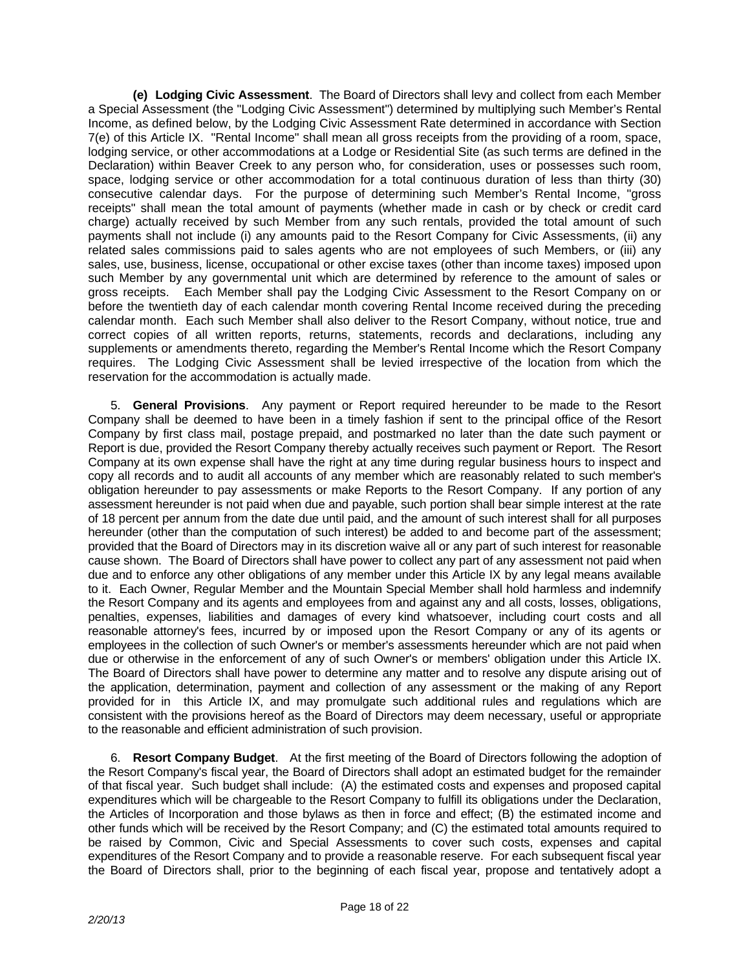**(e) Lodging Civic Assessment**. The Board of Directors shall levy and collect from each Member a Special Assessment (the "Lodging Civic Assessment") determined by multiplying such Member's Rental Income, as defined below, by the Lodging Civic Assessment Rate determined in accordance with Section 7(e) of this Article IX. "Rental Income" shall mean all gross receipts from the providing of a room, space, lodging service, or other accommodations at a Lodge or Residential Site (as such terms are defined in the Declaration) within Beaver Creek to any person who, for consideration, uses or possesses such room, space, lodging service or other accommodation for a total continuous duration of less than thirty (30) consecutive calendar days. For the purpose of determining such Member's Rental Income, "gross receipts" shall mean the total amount of payments (whether made in cash or by check or credit card charge) actually received by such Member from any such rentals, provided the total amount of such payments shall not include (i) any amounts paid to the Resort Company for Civic Assessments, (ii) any related sales commissions paid to sales agents who are not employees of such Members, or (iii) any sales, use, business, license, occupational or other excise taxes (other than income taxes) imposed upon such Member by any governmental unit which are determined by reference to the amount of sales or gross receipts. Each Member shall pay the Lodging Civic Assessment to the Resort Company on or before the twentieth day of each calendar month covering Rental Income received during the preceding calendar month. Each such Member shall also deliver to the Resort Company, without notice, true and correct copies of all written reports, returns, statements, records and declarations, including any supplements or amendments thereto, regarding the Member's Rental Income which the Resort Company requires. The Lodging Civic Assessment shall be levied irrespective of the location from which the reservation for the accommodation is actually made.

 5. **General Provisions**. Any payment or Report required hereunder to be made to the Resort Company shall be deemed to have been in a timely fashion if sent to the principal office of the Resort Company by first class mail, postage prepaid, and postmarked no later than the date such payment or Report is due, provided the Resort Company thereby actually receives such payment or Report. The Resort Company at its own expense shall have the right at any time during regular business hours to inspect and copy all records and to audit all accounts of any member which are reasonably related to such member's obligation hereunder to pay assessments or make Reports to the Resort Company. If any portion of any assessment hereunder is not paid when due and payable, such portion shall bear simple interest at the rate of 18 percent per annum from the date due until paid, and the amount of such interest shall for all purposes hereunder (other than the computation of such interest) be added to and become part of the assessment; provided that the Board of Directors may in its discretion waive all or any part of such interest for reasonable cause shown. The Board of Directors shall have power to collect any part of any assessment not paid when due and to enforce any other obligations of any member under this Article IX by any legal means available to it. Each Owner, Regular Member and the Mountain Special Member shall hold harmless and indemnify the Resort Company and its agents and employees from and against any and all costs, losses, obligations, penalties, expenses, liabilities and damages of every kind whatsoever, including court costs and all reasonable attorney's fees, incurred by or imposed upon the Resort Company or any of its agents or employees in the collection of such Owner's or member's assessments hereunder which are not paid when due or otherwise in the enforcement of any of such Owner's or members' obligation under this Article IX. The Board of Directors shall have power to determine any matter and to resolve any dispute arising out of the application, determination, payment and collection of any assessment or the making of any Report provided for in this Article IX, and may promulgate such additional rules and regulations which are consistent with the provisions hereof as the Board of Directors may deem necessary, useful or appropriate to the reasonable and efficient administration of such provision.

 6. **Resort Company Budget**. At the first meeting of the Board of Directors following the adoption of the Resort Company's fiscal year, the Board of Directors shall adopt an estimated budget for the remainder of that fiscal year. Such budget shall include: (A) the estimated costs and expenses and proposed capital expenditures which will be chargeable to the Resort Company to fulfill its obligations under the Declaration, the Articles of Incorporation and those bylaws as then in force and effect; (B) the estimated income and other funds which will be received by the Resort Company; and (C) the estimated total amounts required to be raised by Common, Civic and Special Assessments to cover such costs, expenses and capital expenditures of the Resort Company and to provide a reasonable reserve. For each subsequent fiscal year the Board of Directors shall, prior to the beginning of each fiscal year, propose and tentatively adopt a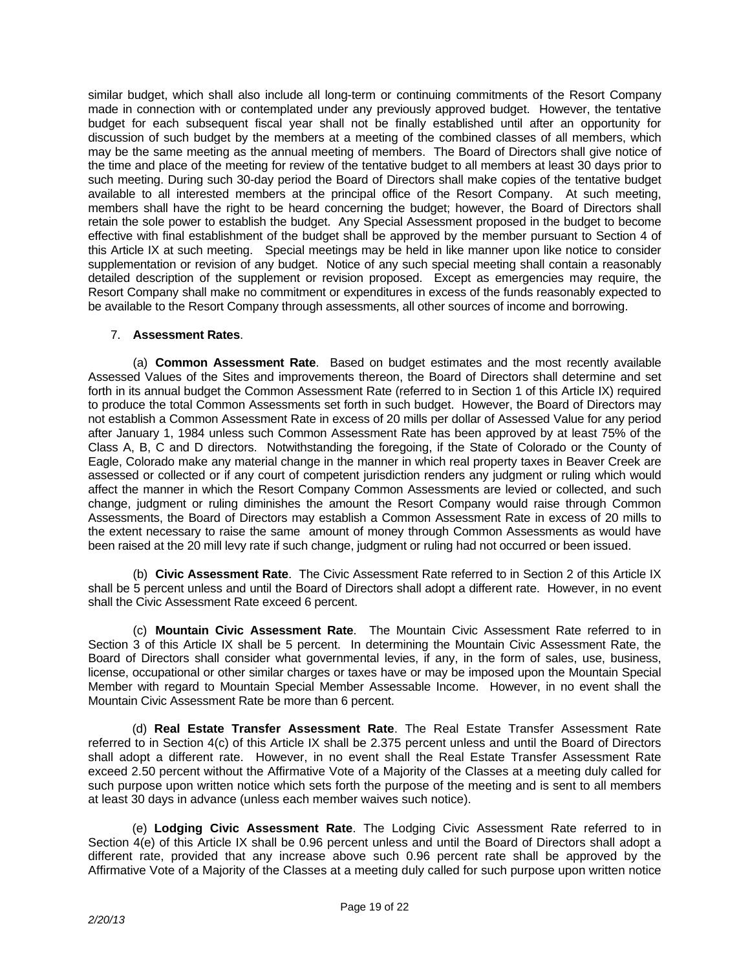similar budget, which shall also include all long-term or continuing commitments of the Resort Company made in connection with or contemplated under any previously approved budget. However, the tentative budget for each subsequent fiscal year shall not be finally established until after an opportunity for discussion of such budget by the members at a meeting of the combined classes of all members, which may be the same meeting as the annual meeting of members. The Board of Directors shall give notice of the time and place of the meeting for review of the tentative budget to all members at least 30 days prior to such meeting. During such 30-day period the Board of Directors shall make copies of the tentative budget available to all interested members at the principal office of the Resort Company. At such meeting, members shall have the right to be heard concerning the budget; however, the Board of Directors shall retain the sole power to establish the budget. Any Special Assessment proposed in the budget to become effective with final establishment of the budget shall be approved by the member pursuant to Section 4 of this Article IX at such meeting. Special meetings may be held in like manner upon like notice to consider supplementation or revision of any budget. Notice of any such special meeting shall contain a reasonably detailed description of the supplement or revision proposed. Except as emergencies may require, the Resort Company shall make no commitment or expenditures in excess of the funds reasonably expected to be available to the Resort Company through assessments, all other sources of income and borrowing.

## 7. **Assessment Rates**.

 (a) **Common Assessment Rate**. Based on budget estimates and the most recently available Assessed Values of the Sites and improvements thereon, the Board of Directors shall determine and set forth in its annual budget the Common Assessment Rate (referred to in Section 1 of this Article IX) required to produce the total Common Assessments set forth in such budget. However, the Board of Directors may not establish a Common Assessment Rate in excess of 20 mills per dollar of Assessed Value for any period after January 1, 1984 unless such Common Assessment Rate has been approved by at least 75% of the Class A, B, C and D directors. Notwithstanding the foregoing, if the State of Colorado or the County of Eagle, Colorado make any material change in the manner in which real property taxes in Beaver Creek are assessed or collected or if any court of competent jurisdiction renders any judgment or ruling which would affect the manner in which the Resort Company Common Assessments are levied or collected, and such change, judgment or ruling diminishes the amount the Resort Company would raise through Common Assessments, the Board of Directors may establish a Common Assessment Rate in excess of 20 mills to the extent necessary to raise the same amount of money through Common Assessments as would have been raised at the 20 mill levy rate if such change, judgment or ruling had not occurred or been issued.

 (b) **Civic Assessment Rate**. The Civic Assessment Rate referred to in Section 2 of this Article IX shall be 5 percent unless and until the Board of Directors shall adopt a different rate. However, in no event shall the Civic Assessment Rate exceed 6 percent.

 (c) **Mountain Civic Assessment Rate**. The Mountain Civic Assessment Rate referred to in Section 3 of this Article IX shall be 5 percent. In determining the Mountain Civic Assessment Rate, the Board of Directors shall consider what governmental levies, if any, in the form of sales, use, business, license, occupational or other similar charges or taxes have or may be imposed upon the Mountain Special Member with regard to Mountain Special Member Assessable Income. However, in no event shall the Mountain Civic Assessment Rate be more than 6 percent.

 (d) **Real Estate Transfer Assessment Rate**. The Real Estate Transfer Assessment Rate referred to in Section 4(c) of this Article IX shall be 2.375 percent unless and until the Board of Directors shall adopt a different rate. However, in no event shall the Real Estate Transfer Assessment Rate exceed 2.50 percent without the Affirmative Vote of a Majority of the Classes at a meeting duly called for such purpose upon written notice which sets forth the purpose of the meeting and is sent to all members at least 30 days in advance (unless each member waives such notice).

 (e) **Lodging Civic Assessment Rate**. The Lodging Civic Assessment Rate referred to in Section 4(e) of this Article IX shall be 0.96 percent unless and until the Board of Directors shall adopt a different rate, provided that any increase above such 0.96 percent rate shall be approved by the Affirmative Vote of a Majority of the Classes at a meeting duly called for such purpose upon written notice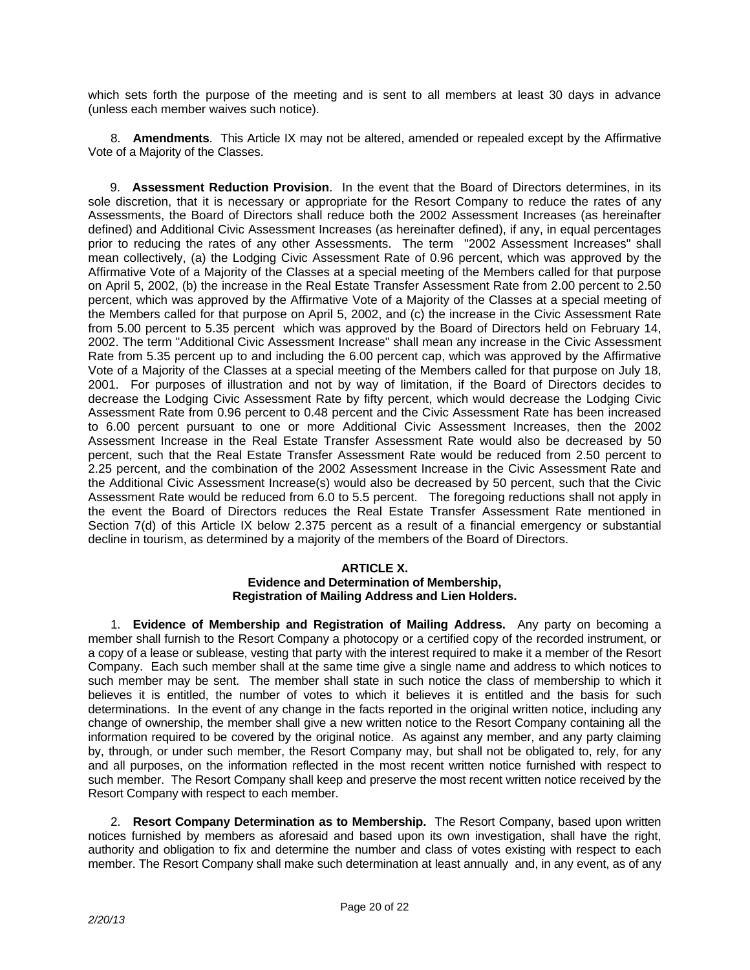which sets forth the purpose of the meeting and is sent to all members at least 30 days in advance (unless each member waives such notice).

 8. **Amendments**. This Article IX may not be altered, amended or repealed except by the Affirmative Vote of a Majority of the Classes.

 9. **Assessment Reduction Provision**. In the event that the Board of Directors determines, in its sole discretion, that it is necessary or appropriate for the Resort Company to reduce the rates of any Assessments, the Board of Directors shall reduce both the 2002 Assessment Increases (as hereinafter defined) and Additional Civic Assessment Increases (as hereinafter defined), if any, in equal percentages prior to reducing the rates of any other Assessments. The term "2002 Assessment Increases" shall mean collectively, (a) the Lodging Civic Assessment Rate of 0.96 percent, which was approved by the Affirmative Vote of a Majority of the Classes at a special meeting of the Members called for that purpose on April 5, 2002, (b) the increase in the Real Estate Transfer Assessment Rate from 2.00 percent to 2.50 percent, which was approved by the Affirmative Vote of a Majority of the Classes at a special meeting of the Members called for that purpose on April 5, 2002, and (c) the increase in the Civic Assessment Rate from 5.00 percent to 5.35 percent which was approved by the Board of Directors held on February 14, 2002. The term "Additional Civic Assessment Increase" shall mean any increase in the Civic Assessment Rate from 5.35 percent up to and including the 6.00 percent cap, which was approved by the Affirmative Vote of a Majority of the Classes at a special meeting of the Members called for that purpose on July 18, 2001. For purposes of illustration and not by way of limitation, if the Board of Directors decides to decrease the Lodging Civic Assessment Rate by fifty percent, which would decrease the Lodging Civic Assessment Rate from 0.96 percent to 0.48 percent and the Civic Assessment Rate has been increased to 6.00 percent pursuant to one or more Additional Civic Assessment Increases, then the 2002 Assessment Increase in the Real Estate Transfer Assessment Rate would also be decreased by 50 percent, such that the Real Estate Transfer Assessment Rate would be reduced from 2.50 percent to 2.25 percent, and the combination of the 2002 Assessment Increase in the Civic Assessment Rate and the Additional Civic Assessment Increase(s) would also be decreased by 50 percent, such that the Civic Assessment Rate would be reduced from 6.0 to 5.5 percent. The foregoing reductions shall not apply in the event the Board of Directors reduces the Real Estate Transfer Assessment Rate mentioned in Section 7(d) of this Article IX below 2.375 percent as a result of a financial emergency or substantial decline in tourism, as determined by a majority of the members of the Board of Directors.

## **ARTICLE X.**

### **Evidence and Determination of Membership, Registration of Mailing Address and Lien Holders.**

 1. **Evidence of Membership and Registration of Mailing Address.** Any party on becoming a member shall furnish to the Resort Company a photocopy or a certified copy of the recorded instrument, or a copy of a lease or sublease, vesting that party with the interest required to make it a member of the Resort Company. Each such member shall at the same time give a single name and address to which notices to such member may be sent. The member shall state in such notice the class of membership to which it believes it is entitled, the number of votes to which it believes it is entitled and the basis for such determinations. In the event of any change in the facts reported in the original written notice, including any change of ownership, the member shall give a new written notice to the Resort Company containing all the information required to be covered by the original notice. As against any member, and any party claiming by, through, or under such member, the Resort Company may, but shall not be obligated to, rely, for any and all purposes, on the information reflected in the most recent written notice furnished with respect to such member. The Resort Company shall keep and preserve the most recent written notice received by the Resort Company with respect to each member.

 2. **Resort Company Determination as to Membership.** The Resort Company, based upon written notices furnished by members as aforesaid and based upon its own investigation, shall have the right, authority and obligation to fix and determine the number and class of votes existing with respect to each member. The Resort Company shall make such determination at least annually and, in any event, as of any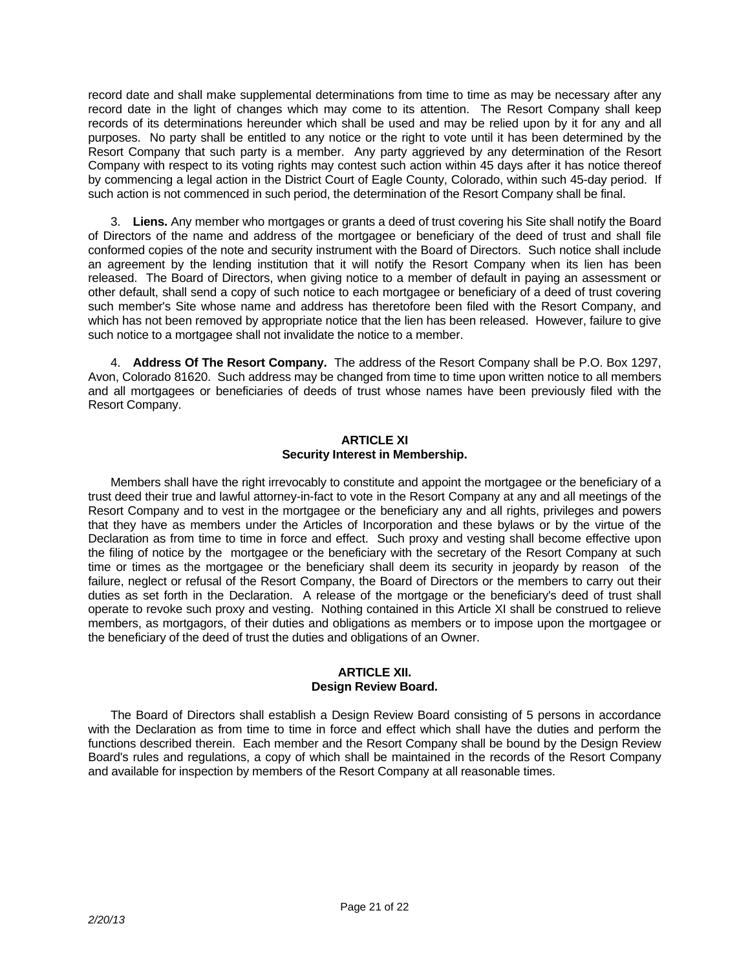record date and shall make supplemental determinations from time to time as may be necessary after any record date in the light of changes which may come to its attention. The Resort Company shall keep records of its determinations hereunder which shall be used and may be relied upon by it for any and all purposes. No party shall be entitled to any notice or the right to vote until it has been determined by the Resort Company that such party is a member. Any party aggrieved by any determination of the Resort Company with respect to its voting rights may contest such action within 45 days after it has notice thereof by commencing a legal action in the District Court of Eagle County, Colorado, within such 45-day period. If such action is not commenced in such period, the determination of the Resort Company shall be final.

 3. **Liens.** Any member who mortgages or grants a deed of trust covering his Site shall notify the Board of Directors of the name and address of the mortgagee or beneficiary of the deed of trust and shall file conformed copies of the note and security instrument with the Board of Directors. Such notice shall include an agreement by the lending institution that it will notify the Resort Company when its lien has been released. The Board of Directors, when giving notice to a member of default in paying an assessment or other default, shall send a copy of such notice to each mortgagee or beneficiary of a deed of trust covering such member's Site whose name and address has theretofore been filed with the Resort Company, and which has not been removed by appropriate notice that the lien has been released. However, failure to give such notice to a mortgagee shall not invalidate the notice to a member.

 4. **Address Of The Resort Company.** The address of the Resort Company shall be P.O. Box 1297, Avon, Colorado 81620. Such address may be changed from time to time upon written notice to all members and all mortgagees or beneficiaries of deeds of trust whose names have been previously filed with the Resort Company.

#### **ARTICLE XI Security Interest in Membership.**

 Members shall have the right irrevocably to constitute and appoint the mortgagee or the beneficiary of a trust deed their true and lawful attorney-in-fact to vote in the Resort Company at any and all meetings of the Resort Company and to vest in the mortgagee or the beneficiary any and all rights, privileges and powers that they have as members under the Articles of Incorporation and these bylaws or by the virtue of the Declaration as from time to time in force and effect. Such proxy and vesting shall become effective upon the filing of notice by the mortgagee or the beneficiary with the secretary of the Resort Company at such time or times as the mortgagee or the beneficiary shall deem its security in jeopardy by reason of the failure, neglect or refusal of the Resort Company, the Board of Directors or the members to carry out their duties as set forth in the Declaration. A release of the mortgage or the beneficiary's deed of trust shall operate to revoke such proxy and vesting. Nothing contained in this Article XI shall be construed to relieve members, as mortgagors, of their duties and obligations as members or to impose upon the mortgagee or the beneficiary of the deed of trust the duties and obligations of an Owner.

### **ARTICLE XII. Design Review Board.**

 The Board of Directors shall establish a Design Review Board consisting of 5 persons in accordance with the Declaration as from time to time in force and effect which shall have the duties and perform the functions described therein. Each member and the Resort Company shall be bound by the Design Review Board's rules and regulations, a copy of which shall be maintained in the records of the Resort Company and available for inspection by members of the Resort Company at all reasonable times.